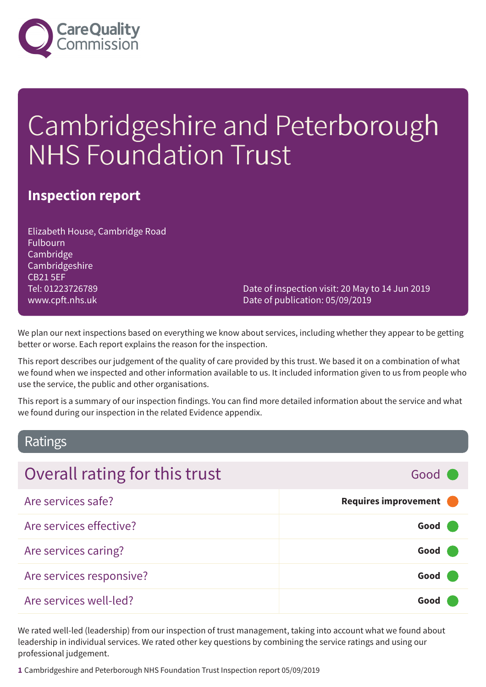

# Cambridgeshire and Peterborough NHS Foundation Trust

### **Inspection report**

Elizabeth House, Cambridge Road Fulbourn Cambridge Cambridgeshire CB21 5EF Tel: 01223726789 www.cpft.nhs.uk

Date of inspection visit: 20 May to 14 Jun 2019 Date of publication: 05/09/2019

We plan our next inspections based on everything we know about services, including whether they appear to be getting better or worse. Each report explains the reason for the inspection.

This report describes our judgement of the quality of care provided by this trust. We based it on a combination of what we found when we inspected and other information available to us. It included information given to us from people who use the service, the public and other organisations.

This report is a summary of our inspection findings. You can find more detailed information about the service and what we found during our inspection in the related Evidence appendix.

### Ratings

| Overall rating for this trust | Good C                 |
|-------------------------------|------------------------|
| Are services safe?            | Requires improvement ( |
| Are services effective?       | Good                   |
| Are services caring?          | Good (                 |
| Are services responsive?      | Good (                 |
| Are services well-led?        | Good                   |

We rated well-led (leadership) from our inspection of trust management, taking into account what we found about leadership in individual services. We rated other key questions by combining the service ratings and using our professional judgement.

**1** Cambridgeshire and Peterborough NHS Foundation Trust Inspection report 05/09/2019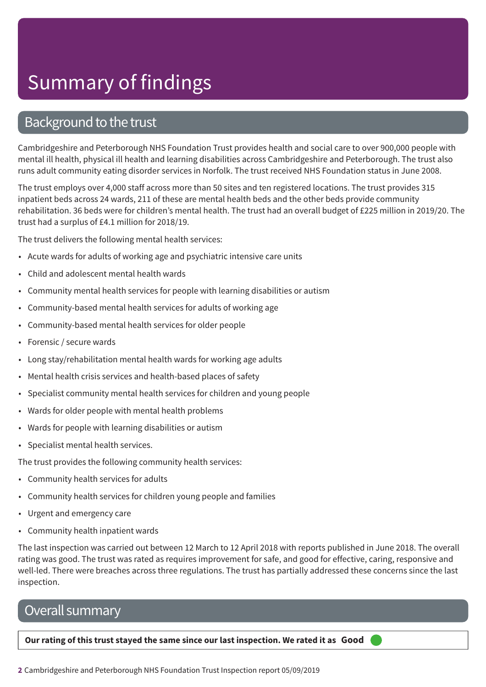### Background to the trust

Cambridgeshire and Peterborough NHS Foundation Trust provides health and social care to over 900,000 people with mental ill health, physical ill health and learning disabilities across Cambridgeshire and Peterborough. The trust also runs adult community eating disorder services in Norfolk. The trust received NHS Foundation status in June 2008.

The trust employs over 4,000 staff across more than 50 sites and ten registered locations. The trust provides 315 inpatient beds across 24 wards, 211 of these are mental health beds and the other beds provide community rehabilitation. 36 beds were for children's mental health. The trust had an overall budget of £225 million in 2019/20. The trust had a surplus of £4.1 million for 2018/19.

The trust delivers the following mental health services:

- Acute wards for adults of working age and psychiatric intensive care units
- Child and adolescent mental health wards
- Community mental health services for people with learning disabilities or autism
- Community-based mental health services for adults of working age
- Community-based mental health services for older people
- Forensic / secure wards
- Long stay/rehabilitation mental health wards for working age adults
- Mental health crisis services and health-based places of safety
- Specialist community mental health services for children and young people
- Wards for older people with mental health problems
- Wards for people with learning disabilities or autism
- Specialist mental health services.

The trust provides the following community health services:

- Community health services for adults
- Community health services for children young people and families
- Urgent and emergency care
- Community health inpatient wards

The last inspection was carried out between 12 March to 12 April 2018 with reports published in June 2018. The overall rating was good. The trust was rated as requires improvement for safe, and good for effective, caring, responsive and well-led. There were breaches across three regulations. The trust has partially addressed these concerns since the last inspection.

### Overall summary

**Our rating of this trust stayed the same since our last inspection. We rated it as Good –––**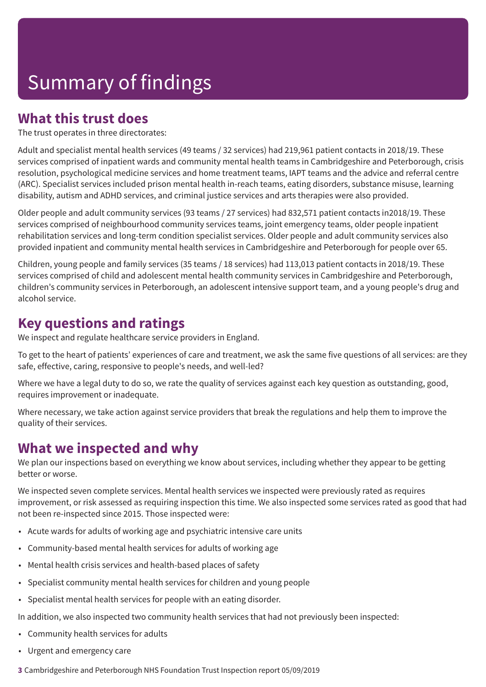### **What this trust does**

The trust operates in three directorates:

Adult and specialist mental health services (49 teams / 32 services) had 219,961 patient contacts in 2018/19. These services comprised of inpatient wards and community mental health teams in Cambridgeshire and Peterborough, crisis resolution, psychological medicine services and home treatment teams, IAPT teams and the advice and referral centre (ARC). Specialist services included prison mental health in-reach teams, eating disorders, substance misuse, learning disability, autism and ADHD services, and criminal justice services and arts therapies were also provided.

Older people and adult community services (93 teams / 27 services) had 832,571 patient contacts in2018/19. These services comprised of neighbourhood community services teams, joint emergency teams, older people inpatient rehabilitation services and long-term condition specialist services. Older people and adult community services also provided inpatient and community mental health services in Cambridgeshire and Peterborough for people over 65.

Children, young people and family services (35 teams / 18 services) had 113,013 patient contacts in 2018/19. These services comprised of child and adolescent mental health community services in Cambridgeshire and Peterborough, children's community services in Peterborough, an adolescent intensive support team, and a young people's drug and alcohol service.

### **Key questions and ratings**

We inspect and regulate healthcare service providers in England.

To get to the heart of patients' experiences of care and treatment, we ask the same five questions of all services: are they safe, effective, caring, responsive to people's needs, and well-led?

Where we have a legal duty to do so, we rate the quality of services against each key question as outstanding, good, requires improvement or inadequate.

Where necessary, we take action against service providers that break the regulations and help them to improve the quality of their services.

### **What we inspected and why**

We plan our inspections based on everything we know about services, including whether they appear to be getting better or worse.

We inspected seven complete services. Mental health services we inspected were previously rated as requires improvement, or risk assessed as requiring inspection this time. We also inspected some services rated as good that had not been re-inspected since 2015. Those inspected were:

- Acute wards for adults of working age and psychiatric intensive care units
- Community-based mental health services for adults of working age
- Mental health crisis services and health-based places of safety
- Specialist community mental health services for children and young people
- Specialist mental health services for people with an eating disorder.

In addition, we also inspected two community health services that had not previously been inspected:

- Community health services for adults
- Urgent and emergency care

**3** Cambridgeshire and Peterborough NHS Foundation Trust Inspection report 05/09/2019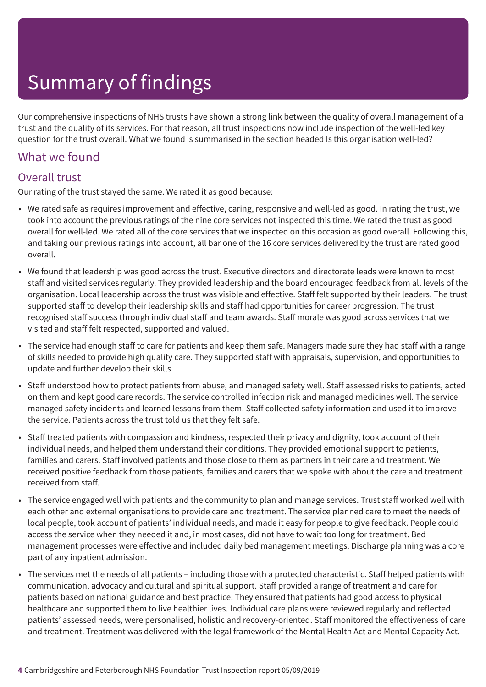Our comprehensive inspections of NHS trusts have shown a strong link between the quality of overall management of a trust and the quality of its services. For that reason, all trust inspections now include inspection of the well-led key question for the trust overall. What we found is summarised in the section headed Is this organisation well-led?

### What we found

### Overall trust

Our rating of the trust stayed the same. We rated it as good because:

- We rated safe as requires improvement and effective, caring, responsive and well-led as good. In rating the trust, we took into account the previous ratings of the nine core services not inspected this time. We rated the trust as good overall for well-led. We rated all of the core services that we inspected on this occasion as good overall. Following this, and taking our previous ratings into account, all bar one of the 16 core services delivered by the trust are rated good overall.
- We found that leadership was good across the trust. Executive directors and directorate leads were known to most staff and visited services regularly. They provided leadership and the board encouraged feedback from all levels of the organisation. Local leadership across the trust was visible and effective. Staff felt supported by their leaders. The trust supported staff to develop their leadership skills and staff had opportunities for career progression. The trust recognised staff success through individual staff and team awards. Staff morale was good across services that we visited and staff felt respected, supported and valued.
- The service had enough staff to care for patients and keep them safe. Managers made sure they had staff with a range of skills needed to provide high quality care. They supported staff with appraisals, supervision, and opportunities to update and further develop their skills.
- Staff understood how to protect patients from abuse, and managed safety well. Staff assessed risks to patients, acted on them and kept good care records. The service controlled infection risk and managed medicines well. The service managed safety incidents and learned lessons from them. Staff collected safety information and used it to improve the service. Patients across the trust told us that they felt safe.
- Staff treated patients with compassion and kindness, respected their privacy and dignity, took account of their individual needs, and helped them understand their conditions. They provided emotional support to patients, families and carers. Staff involved patients and those close to them as partners in their care and treatment. We received positive feedback from those patients, families and carers that we spoke with about the care and treatment received from staff.
- The service engaged well with patients and the community to plan and manage services. Trust staff worked well with each other and external organisations to provide care and treatment. The service planned care to meet the needs of local people, took account of patients' individual needs, and made it easy for people to give feedback. People could access the service when they needed it and, in most cases, did not have to wait too long for treatment. Bed management processes were effective and included daily bed management meetings. Discharge planning was a core part of any inpatient admission.
- The services met the needs of all patients including those with a protected characteristic. Staff helped patients with communication, advocacy and cultural and spiritual support. Staff provided a range of treatment and care for patients based on national guidance and best practice. They ensured that patients had good access to physical healthcare and supported them to live healthier lives. Individual care plans were reviewed regularly and reflected patients' assessed needs, were personalised, holistic and recovery-oriented. Staff monitored the effectiveness of care and treatment. Treatment was delivered with the legal framework of the Mental Health Act and Mental Capacity Act.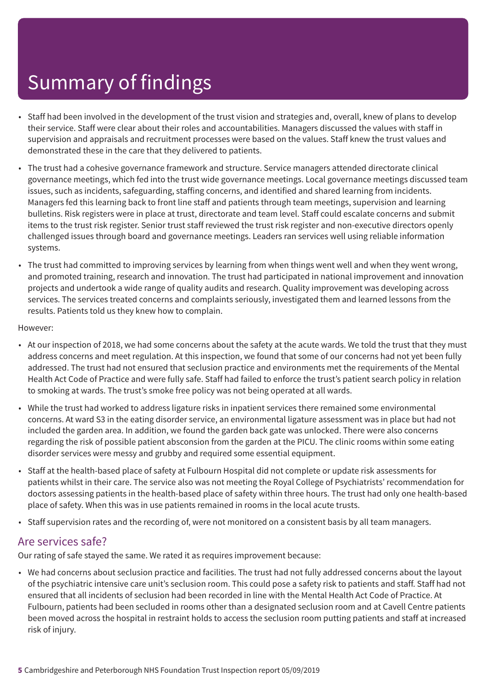- Staff had been involved in the development of the trust vision and strategies and, overall, knew of plans to develop their service. Staff were clear about their roles and accountabilities. Managers discussed the values with staff in supervision and appraisals and recruitment processes were based on the values. Staff knew the trust values and demonstrated these in the care that they delivered to patients.
- The trust had a cohesive governance framework and structure. Service managers attended directorate clinical governance meetings, which fed into the trust wide governance meetings. Local governance meetings discussed team issues, such as incidents, safeguarding, staffing concerns, and identified and shared learning from incidents. Managers fed this learning back to front line staff and patients through team meetings, supervision and learning bulletins. Risk registers were in place at trust, directorate and team level. Staff could escalate concerns and submit items to the trust risk register. Senior trust staff reviewed the trust risk register and non-executive directors openly challenged issues through board and governance meetings. Leaders ran services well using reliable information systems.
- The trust had committed to improving services by learning from when things went well and when they went wrong, and promoted training, research and innovation. The trust had participated in national improvement and innovation projects and undertook a wide range of quality audits and research. Quality improvement was developing across services. The services treated concerns and complaints seriously, investigated them and learned lessons from the results. Patients told us they knew how to complain.

#### However:

- At our inspection of 2018, we had some concerns about the safety at the acute wards. We told the trust that they must address concerns and meet regulation. At this inspection, we found that some of our concerns had not yet been fully addressed. The trust had not ensured that seclusion practice and environments met the requirements of the Mental Health Act Code of Practice and were fully safe. Staff had failed to enforce the trust's patient search policy in relation to smoking at wards. The trust's smoke free policy was not being operated at all wards.
- While the trust had worked to address ligature risks in inpatient services there remained some environmental concerns. At ward S3 in the eating disorder service, an environmental ligature assessment was in place but had not included the garden area. In addition, we found the garden back gate was unlocked. There were also concerns regarding the risk of possible patient absconsion from the garden at the PICU. The clinic rooms within some eating disorder services were messy and grubby and required some essential equipment.
- Staff at the health-based place of safety at Fulbourn Hospital did not complete or update risk assessments for patients whilst in their care. The service also was not meeting the Royal College of Psychiatrists' recommendation for doctors assessing patients in the health-based place of safety within three hours. The trust had only one health-based place of safety. When this was in use patients remained in rooms in the local acute trusts.
- Staff supervision rates and the recording of, were not monitored on a consistent basis by all team managers.

### Are services safe?

Our rating of safe stayed the same. We rated it as requires improvement because:

• We had concerns about seclusion practice and facilities. The trust had not fully addressed concerns about the layout of the psychiatric intensive care unit's seclusion room. This could pose a safety risk to patients and staff. Staff had not ensured that all incidents of seclusion had been recorded in line with the Mental Health Act Code of Practice. At Fulbourn, patients had been secluded in rooms other than a designated seclusion room and at Cavell Centre patients been moved across the hospital in restraint holds to access the seclusion room putting patients and staff at increased risk of injury.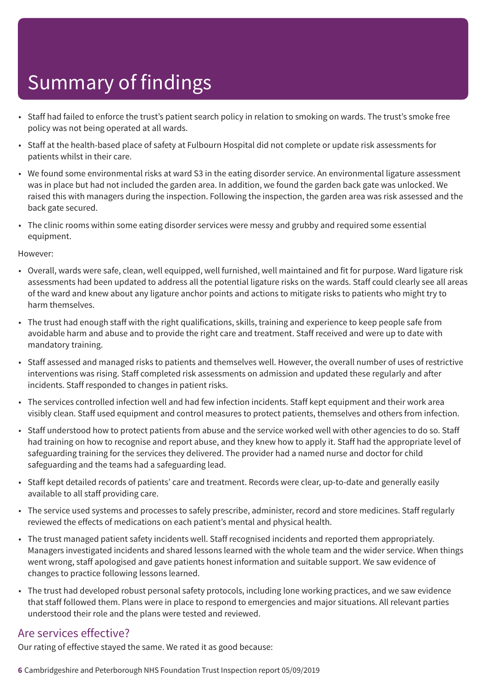- Staff had failed to enforce the trust's patient search policy in relation to smoking on wards. The trust's smoke free policy was not being operated at all wards.
- Staff at the health-based place of safety at Fulbourn Hospital did not complete or update risk assessments for patients whilst in their care.
- We found some environmental risks at ward S3 in the eating disorder service. An environmental ligature assessment was in place but had not included the garden area. In addition, we found the garden back gate was unlocked. We raised this with managers during the inspection. Following the inspection, the garden area was risk assessed and the back gate secured.
- The clinic rooms within some eating disorder services were messy and grubby and required some essential equipment.

However:

- Overall, wards were safe, clean, well equipped, well furnished, well maintained and fit for purpose. Ward ligature risk assessments had been updated to address all the potential ligature risks on the wards. Staff could clearly see all areas of the ward and knew about any ligature anchor points and actions to mitigate risks to patients who might try to harm themselves.
- The trust had enough staff with the right qualifications, skills, training and experience to keep people safe from avoidable harm and abuse and to provide the right care and treatment. Staff received and were up to date with mandatory training.
- Staff assessed and managed risks to patients and themselves well. However, the overall number of uses of restrictive interventions was rising. Staff completed risk assessments on admission and updated these regularly and after incidents. Staff responded to changes in patient risks.
- The services controlled infection well and had few infection incidents. Staff kept equipment and their work area visibly clean. Staff used equipment and control measures to protect patients, themselves and others from infection.
- Staff understood how to protect patients from abuse and the service worked well with other agencies to do so. Staff had training on how to recognise and report abuse, and they knew how to apply it. Staff had the appropriate level of safeguarding training for the services they delivered. The provider had a named nurse and doctor for child safeguarding and the teams had a safeguarding lead.
- Staff kept detailed records of patients' care and treatment. Records were clear, up-to-date and generally easily available to all staff providing care.
- The service used systems and processes to safely prescribe, administer, record and store medicines. Staff regularly reviewed the effects of medications on each patient's mental and physical health.
- The trust managed patient safety incidents well. Staff recognised incidents and reported them appropriately. Managers investigated incidents and shared lessons learned with the whole team and the wider service. When things went wrong, staff apologised and gave patients honest information and suitable support. We saw evidence of changes to practice following lessons learned.
- The trust had developed robust personal safety protocols, including lone working practices, and we saw evidence that staff followed them. Plans were in place to respond to emergencies and major situations. All relevant parties understood their role and the plans were tested and reviewed.

### Are services effective?

Our rating of effective stayed the same. We rated it as good because:

**6** Cambridgeshire and Peterborough NHS Foundation Trust Inspection report 05/09/2019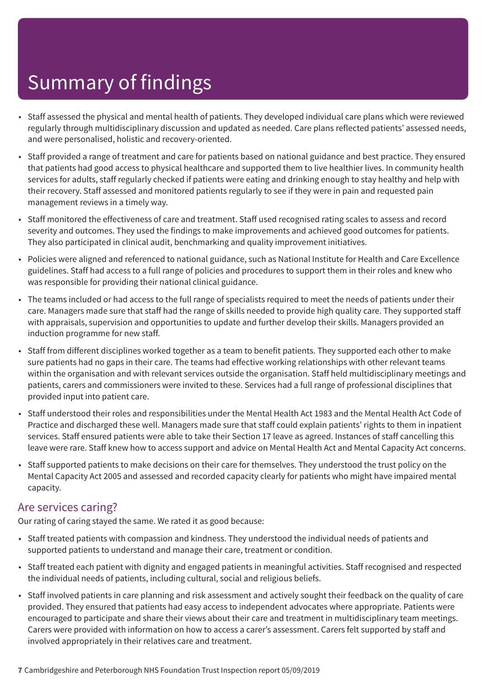- Staff assessed the physical and mental health of patients. They developed individual care plans which were reviewed regularly through multidisciplinary discussion and updated as needed. Care plans reflected patients' assessed needs, and were personalised, holistic and recovery-oriented.
- Staff provided a range of treatment and care for patients based on national guidance and best practice. They ensured that patients had good access to physical healthcare and supported them to live healthier lives. In community health services for adults, staff regularly checked if patients were eating and drinking enough to stay healthy and help with their recovery. Staff assessed and monitored patients regularly to see if they were in pain and requested pain management reviews in a timely way.
- Staff monitored the effectiveness of care and treatment. Staff used recognised rating scales to assess and record severity and outcomes. They used the findings to make improvements and achieved good outcomes for patients. They also participated in clinical audit, benchmarking and quality improvement initiatives.
- Policies were aligned and referenced to national guidance, such as National Institute for Health and Care Excellence guidelines. Staff had access to a full range of policies and procedures to support them in their roles and knew who was responsible for providing their national clinical guidance.
- The teams included or had access to the full range of specialists required to meet the needs of patients under their care. Managers made sure that staff had the range of skills needed to provide high quality care. They supported staff with appraisals, supervision and opportunities to update and further develop their skills. Managers provided an induction programme for new staff.
- Staff from different disciplines worked together as a team to benefit patients. They supported each other to make sure patients had no gaps in their care. The teams had effective working relationships with other relevant teams within the organisation and with relevant services outside the organisation. Staff held multidisciplinary meetings and patients, carers and commissioners were invited to these. Services had a full range of professional disciplines that provided input into patient care.
- Staff understood their roles and responsibilities under the Mental Health Act 1983 and the Mental Health Act Code of Practice and discharged these well. Managers made sure that staff could explain patients' rights to them in inpatient services. Staff ensured patients were able to take their Section 17 leave as agreed. Instances of staff cancelling this leave were rare. Staff knew how to access support and advice on Mental Health Act and Mental Capacity Act concerns.
- Staff supported patients to make decisions on their care for themselves. They understood the trust policy on the Mental Capacity Act 2005 and assessed and recorded capacity clearly for patients who might have impaired mental capacity.

### Are services caring?

Our rating of caring stayed the same. We rated it as good because:

- Staff treated patients with compassion and kindness. They understood the individual needs of patients and supported patients to understand and manage their care, treatment or condition.
- Staff treated each patient with dignity and engaged patients in meaningful activities. Staff recognised and respected the individual needs of patients, including cultural, social and religious beliefs.
- Staff involved patients in care planning and risk assessment and actively sought their feedback on the quality of care provided. They ensured that patients had easy access to independent advocates where appropriate. Patients were encouraged to participate and share their views about their care and treatment in multidisciplinary team meetings. Carers were provided with information on how to access a carer's assessment. Carers felt supported by staff and involved appropriately in their relatives care and treatment.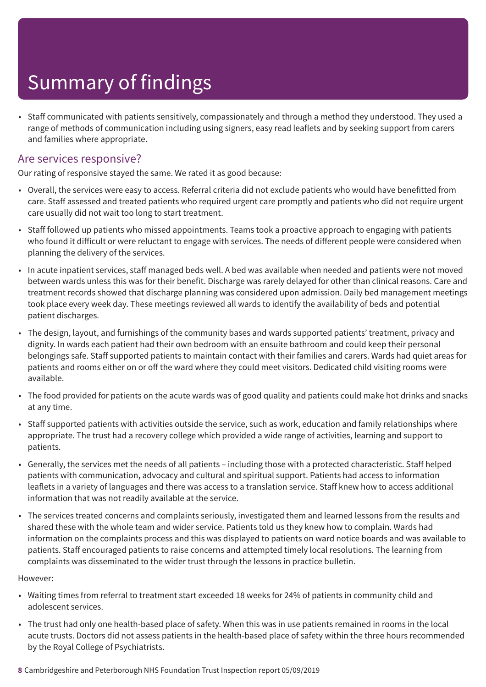• Staff communicated with patients sensitively, compassionately and through a method they understood. They used a range of methods of communication including using signers, easy read leaflets and by seeking support from carers and families where appropriate.

### Are services responsive?

Our rating of responsive stayed the same. We rated it as good because:

- Overall, the services were easy to access. Referral criteria did not exclude patients who would have benefitted from care. Staff assessed and treated patients who required urgent care promptly and patients who did not require urgent care usually did not wait too long to start treatment.
- Staff followed up patients who missed appointments. Teams took a proactive approach to engaging with patients who found it difficult or were reluctant to engage with services. The needs of different people were considered when planning the delivery of the services.
- In acute inpatient services, staff managed beds well. A bed was available when needed and patients were not moved between wards unless this was for their benefit. Discharge was rarely delayed for other than clinical reasons. Care and treatment records showed that discharge planning was considered upon admission. Daily bed management meetings took place every week day. These meetings reviewed all wards to identify the availability of beds and potential patient discharges.
- The design, layout, and furnishings of the community bases and wards supported patients' treatment, privacy and dignity. In wards each patient had their own bedroom with an ensuite bathroom and could keep their personal belongings safe. Staff supported patients to maintain contact with their families and carers. Wards had quiet areas for patients and rooms either on or off the ward where they could meet visitors. Dedicated child visiting rooms were available.
- The food provided for patients on the acute wards was of good quality and patients could make hot drinks and snacks at any time.
- Staff supported patients with activities outside the service, such as work, education and family relationships where appropriate. The trust had a recovery college which provided a wide range of activities, learning and support to patients.
- Generally, the services met the needs of all patients including those with a protected characteristic. Staff helped patients with communication, advocacy and cultural and spiritual support. Patients had access to information leaflets in a variety of languages and there was access to a translation service. Staff knew how to access additional information that was not readily available at the service.
- The services treated concerns and complaints seriously, investigated them and learned lessons from the results and shared these with the whole team and wider service. Patients told us they knew how to complain. Wards had information on the complaints process and this was displayed to patients on ward notice boards and was available to patients. Staff encouraged patients to raise concerns and attempted timely local resolutions. The learning from complaints was disseminated to the wider trust through the lessons in practice bulletin.

#### However:

- Waiting times from referral to treatment start exceeded 18 weeks for 24% of patients in community child and adolescent services.
- The trust had only one health-based place of safety. When this was in use patients remained in rooms in the local acute trusts. Doctors did not assess patients in the health-based place of safety within the three hours recommended by the Royal College of Psychiatrists.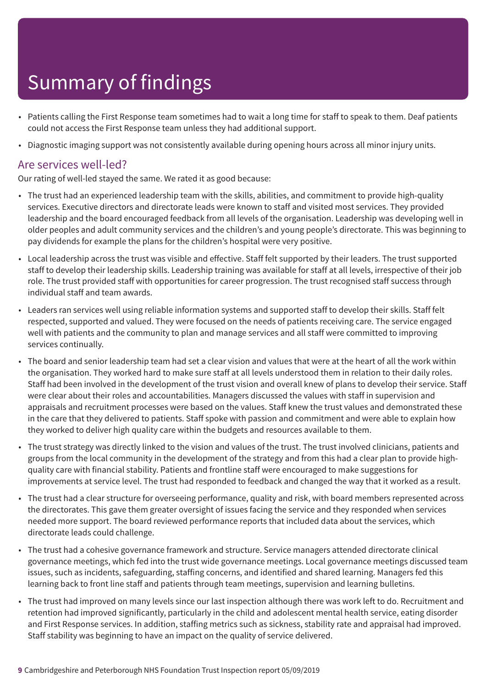- Patients calling the First Response team sometimes had to wait a long time for staff to speak to them. Deaf patients could not access the First Response team unless they had additional support.
- Diagnostic imaging support was not consistently available during opening hours across all minor injury units.

### Are services well-led?

Our rating of well-led stayed the same. We rated it as good because:

- The trust had an experienced leadership team with the skills, abilities, and commitment to provide high-quality services. Executive directors and directorate leads were known to staff and visited most services. They provided leadership and the board encouraged feedback from all levels of the organisation. Leadership was developing well in older peoples and adult community services and the children's and young people's directorate. This was beginning to pay dividends for example the plans for the children's hospital were very positive.
- Local leadership across the trust was visible and effective. Staff felt supported by their leaders. The trust supported staff to develop their leadership skills. Leadership training was available for staff at all levels, irrespective of their job role. The trust provided staff with opportunities for career progression. The trust recognised staff success through individual staff and team awards.
- Leaders ran services well using reliable information systems and supported staff to develop their skills. Staff felt respected, supported and valued. They were focused on the needs of patients receiving care. The service engaged well with patients and the community to plan and manage services and all staff were committed to improving services continually.
- The board and senior leadership team had set a clear vision and values that were at the heart of all the work within the organisation. They worked hard to make sure staff at all levels understood them in relation to their daily roles. Staff had been involved in the development of the trust vision and overall knew of plans to develop their service. Staff were clear about their roles and accountabilities. Managers discussed the values with staff in supervision and appraisals and recruitment processes were based on the values. Staff knew the trust values and demonstrated these in the care that they delivered to patients. Staff spoke with passion and commitment and were able to explain how they worked to deliver high quality care within the budgets and resources available to them.
- The trust strategy was directly linked to the vision and values of the trust. The trust involved clinicians, patients and groups from the local community in the development of the strategy and from this had a clear plan to provide highquality care with financial stability. Patients and frontline staff were encouraged to make suggestions for improvements at service level. The trust had responded to feedback and changed the way that it worked as a result.
- The trust had a clear structure for overseeing performance, quality and risk, with board members represented across the directorates. This gave them greater oversight of issues facing the service and they responded when services needed more support. The board reviewed performance reports that included data about the services, which directorate leads could challenge.
- The trust had a cohesive governance framework and structure. Service managers attended directorate clinical governance meetings, which fed into the trust wide governance meetings. Local governance meetings discussed team issues, such as incidents, safeguarding, staffing concerns, and identified and shared learning. Managers fed this learning back to front line staff and patients through team meetings, supervision and learning bulletins.
- The trust had improved on many levels since our last inspection although there was work left to do. Recruitment and retention had improved significantly, particularly in the child and adolescent mental health service, eating disorder and First Response services. In addition, staffing metrics such as sickness, stability rate and appraisal had improved. Staff stability was beginning to have an impact on the quality of service delivered.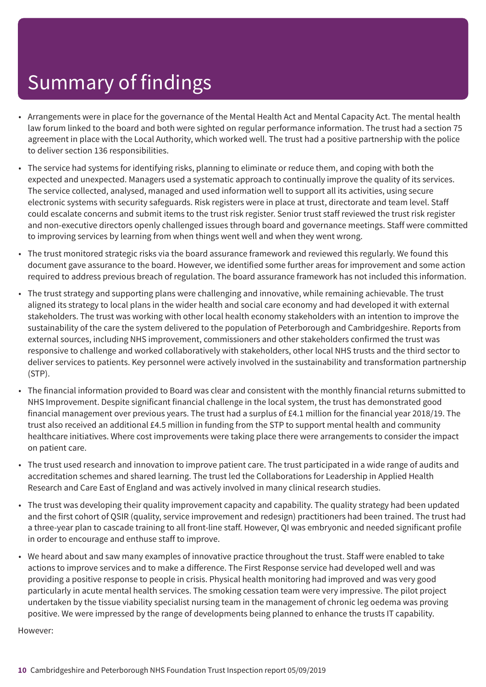- Arrangements were in place for the governance of the Mental Health Act and Mental Capacity Act. The mental health law forum linked to the board and both were sighted on regular performance information. The trust had a section 75 agreement in place with the Local Authority, which worked well. The trust had a positive partnership with the police to deliver section 136 responsibilities.
- The service had systems for identifying risks, planning to eliminate or reduce them, and coping with both the expected and unexpected. Managers used a systematic approach to continually improve the quality of its services. The service collected, analysed, managed and used information well to support all its activities, using secure electronic systems with security safeguards. Risk registers were in place at trust, directorate and team level. Staff could escalate concerns and submit items to the trust risk register. Senior trust staff reviewed the trust risk register and non-executive directors openly challenged issues through board and governance meetings. Staff were committed to improving services by learning from when things went well and when they went wrong.
- The trust monitored strategic risks via the board assurance framework and reviewed this regularly. We found this document gave assurance to the board. However, we identified some further areas for improvement and some action required to address previous breach of regulation. The board assurance framework has not included this information.
- The trust strategy and supporting plans were challenging and innovative, while remaining achievable. The trust aligned its strategy to local plans in the wider health and social care economy and had developed it with external stakeholders. The trust was working with other local health economy stakeholders with an intention to improve the sustainability of the care the system delivered to the population of Peterborough and Cambridgeshire. Reports from external sources, including NHS improvement, commissioners and other stakeholders confirmed the trust was responsive to challenge and worked collaboratively with stakeholders, other local NHS trusts and the third sector to deliver services to patients. Key personnel were actively involved in the sustainability and transformation partnership (STP).
- The financial information provided to Board was clear and consistent with the monthly financial returns submitted to NHS Improvement. Despite significant financial challenge in the local system, the trust has demonstrated good financial management over previous years. The trust had a surplus of £4.1 million for the financial year 2018/19. The trust also received an additional £4.5 million in funding from the STP to support mental health and community healthcare initiatives. Where cost improvements were taking place there were arrangements to consider the impact on patient care.
- The trust used research and innovation to improve patient care. The trust participated in a wide range of audits and accreditation schemes and shared learning. The trust led the Collaborations for Leadership in Applied Health Research and Care East of England and was actively involved in many clinical research studies.
- The trust was developing their quality improvement capacity and capability. The quality strategy had been updated and the first cohort of QSIR (quality, service improvement and redesign) practitioners had been trained. The trust had a three-year plan to cascade training to all front-line staff. However, QI was embryonic and needed significant profile in order to encourage and enthuse staff to improve.
- We heard about and saw many examples of innovative practice throughout the trust. Staff were enabled to take actions to improve services and to make a difference. The First Response service had developed well and was providing a positive response to people in crisis. Physical health monitoring had improved and was very good particularly in acute mental health services. The smoking cessation team were very impressive. The pilot project undertaken by the tissue viability specialist nursing team in the management of chronic leg oedema was proving positive. We were impressed by the range of developments being planned to enhance the trusts IT capability.

However: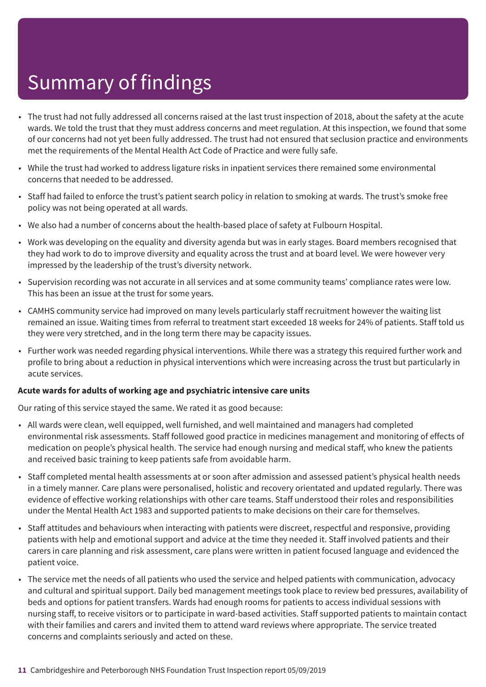- The trust had not fully addressed all concerns raised at the last trust inspection of 2018, about the safety at the acute wards. We told the trust that they must address concerns and meet regulation. At this inspection, we found that some of our concerns had not yet been fully addressed. The trust had not ensured that seclusion practice and environments met the requirements of the Mental Health Act Code of Practice and were fully safe.
- While the trust had worked to address ligature risks in inpatient services there remained some environmental concerns that needed to be addressed.
- Staff had failed to enforce the trust's patient search policy in relation to smoking at wards. The trust's smoke free policy was not being operated at all wards.
- We also had a number of concerns about the health-based place of safety at Fulbourn Hospital.
- Work was developing on the equality and diversity agenda but was in early stages. Board members recognised that they had work to do to improve diversity and equality across the trust and at board level. We were however very impressed by the leadership of the trust's diversity network.
- Supervision recording was not accurate in all services and at some community teams' compliance rates were low. This has been an issue at the trust for some years.
- CAMHS community service had improved on many levels particularly staff recruitment however the waiting list remained an issue. Waiting times from referral to treatment start exceeded 18 weeks for 24% of patients. Staff told us they were very stretched, and in the long term there may be capacity issues.
- Further work was needed regarding physical interventions. While there was a strategy this required further work and profile to bring about a reduction in physical interventions which were increasing across the trust but particularly in acute services.

#### **Acute wards for adults of working age and psychiatric intensive care units**

Our rating of this service stayed the same. We rated it as good because:

- All wards were clean, well equipped, well furnished, and well maintained and managers had completed environmental risk assessments. Staff followed good practice in medicines management and monitoring of effects of medication on people's physical health. The service had enough nursing and medical staff, who knew the patients and received basic training to keep patients safe from avoidable harm.
- Staff completed mental health assessments at or soon after admission and assessed patient's physical health needs in a timely manner. Care plans were personalised, holistic and recovery orientated and updated regularly. There was evidence of effective working relationships with other care teams. Staff understood their roles and responsibilities under the Mental Health Act 1983 and supported patients to make decisions on their care for themselves.
- Staff attitudes and behaviours when interacting with patients were discreet, respectful and responsive, providing patients with help and emotional support and advice at the time they needed it. Staff involved patients and their carers in care planning and risk assessment, care plans were written in patient focused language and evidenced the patient voice.
- The service met the needs of all patients who used the service and helped patients with communication, advocacy and cultural and spiritual support. Daily bed management meetings took place to review bed pressures, availability of beds and options for patient transfers. Wards had enough rooms for patients to access individual sessions with nursing staff, to receive visitors or to participate in ward-based activities. Staff supported patients to maintain contact with their families and carers and invited them to attend ward reviews where appropriate. The service treated concerns and complaints seriously and acted on these.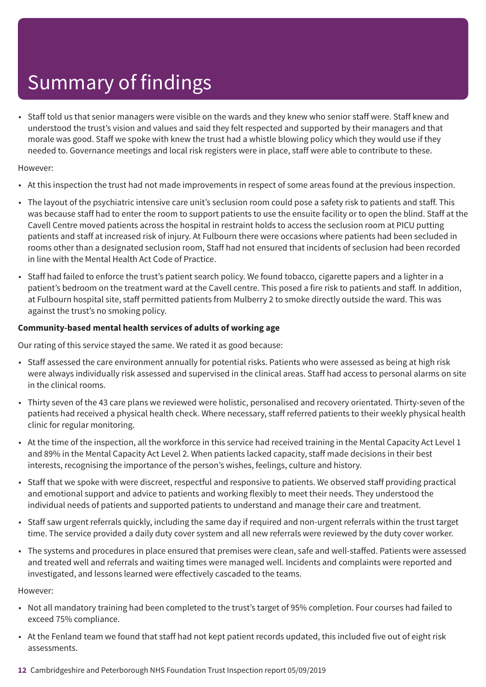• Staff told us that senior managers were visible on the wards and they knew who senior staff were. Staff knew and understood the trust's vision and values and said they felt respected and supported by their managers and that morale was good. Staff we spoke with knew the trust had a whistle blowing policy which they would use if they needed to. Governance meetings and local risk registers were in place, staff were able to contribute to these.

#### However:

- At this inspection the trust had not made improvements in respect of some areas found at the previous inspection.
- The layout of the psychiatric intensive care unit's seclusion room could pose a safety risk to patients and staff. This was because staff had to enter the room to support patients to use the ensuite facility or to open the blind. Staff at the Cavell Centre moved patients across the hospital in restraint holds to access the seclusion room at PICU putting patients and staff at increased risk of injury. At Fulbourn there were occasions where patients had been secluded in rooms other than a designated seclusion room, Staff had not ensured that incidents of seclusion had been recorded in line with the Mental Health Act Code of Practice.
- Staff had failed to enforce the trust's patient search policy. We found tobacco, cigarette papers and a lighter in a patient's bedroom on the treatment ward at the Cavell centre. This posed a fire risk to patients and staff. In addition, at Fulbourn hospital site, staff permitted patients from Mulberry 2 to smoke directly outside the ward. This was against the trust's no smoking policy.

#### **Community-based mental health services of adults of working age**

Our rating of this service stayed the same. We rated it as good because:

- Staff assessed the care environment annually for potential risks. Patients who were assessed as being at high risk were always individually risk assessed and supervised in the clinical areas. Staff had access to personal alarms on site in the clinical rooms.
- Thirty seven of the 43 care plans we reviewed were holistic, personalised and recovery orientated. Thirty-seven of the patients had received a physical health check. Where necessary, staff referred patients to their weekly physical health clinic for regular monitoring.
- At the time of the inspection, all the workforce in this service had received training in the Mental Capacity Act Level 1 and 89% in the Mental Capacity Act Level 2. When patients lacked capacity, staff made decisions in their best interests, recognising the importance of the person's wishes, feelings, culture and history.
- Staff that we spoke with were discreet, respectful and responsive to patients. We observed staff providing practical and emotional support and advice to patients and working flexibly to meet their needs. They understood the individual needs of patients and supported patients to understand and manage their care and treatment.
- Staff saw urgent referrals quickly, including the same day if required and non-urgent referrals within the trust target time. The service provided a daily duty cover system and all new referrals were reviewed by the duty cover worker.
- The systems and procedures in place ensured that premises were clean, safe and well-staffed. Patients were assessed and treated well and referrals and waiting times were managed well. Incidents and complaints were reported and investigated, and lessons learned were effectively cascaded to the teams.

However:

- Not all mandatory training had been completed to the trust's target of 95% completion. Four courses had failed to exceed 75% compliance.
- At the Fenland team we found that staff had not kept patient records updated, this included five out of eight risk assessments.
- **12** Cambridgeshire and Peterborough NHS Foundation Trust Inspection report 05/09/2019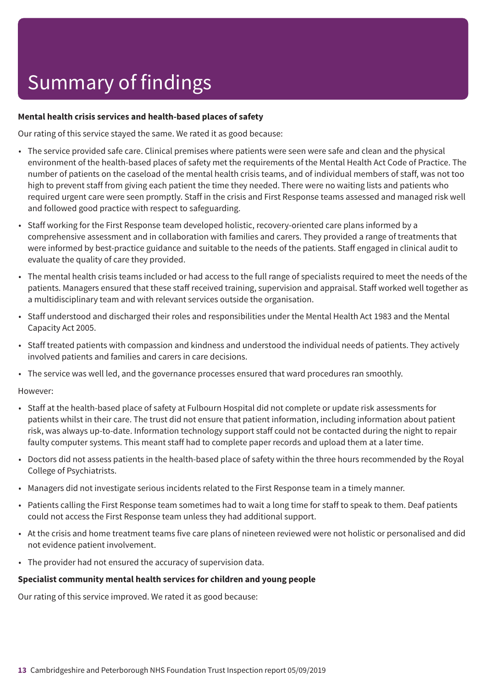#### **Mental health crisis services and health-based places of safety**

Our rating of this service stayed the same. We rated it as good because:

- The service provided safe care. Clinical premises where patients were seen were safe and clean and the physical environment of the health-based places of safety met the requirements of the Mental Health Act Code of Practice. The number of patients on the caseload of the mental health crisis teams, and of individual members of staff, was not too high to prevent staff from giving each patient the time they needed. There were no waiting lists and patients who required urgent care were seen promptly. Staff in the crisis and First Response teams assessed and managed risk well and followed good practice with respect to safeguarding.
- Staff working for the First Response team developed holistic, recovery-oriented care plans informed by a comprehensive assessment and in collaboration with families and carers. They provided a range of treatments that were informed by best-practice guidance and suitable to the needs of the patients. Staff engaged in clinical audit to evaluate the quality of care they provided.
- The mental health crisis teams included or had access to the full range of specialists required to meet the needs of the patients. Managers ensured that these staff received training, supervision and appraisal. Staff worked well together as a multidisciplinary team and with relevant services outside the organisation.
- Staff understood and discharged their roles and responsibilities under the Mental Health Act 1983 and the Mental Capacity Act 2005.
- Staff treated patients with compassion and kindness and understood the individual needs of patients. They actively involved patients and families and carers in care decisions.
- The service was well led, and the governance processes ensured that ward procedures ran smoothly.

#### However:

- Staff at the health-based place of safety at Fulbourn Hospital did not complete or update risk assessments for patients whilst in their care. The trust did not ensure that patient information, including information about patient risk, was always up-to-date. Information technology support staff could not be contacted during the night to repair faulty computer systems. This meant staff had to complete paper records and upload them at a later time.
- Doctors did not assess patients in the health-based place of safety within the three hours recommended by the Royal College of Psychiatrists.
- Managers did not investigate serious incidents related to the First Response team in a timely manner.
- Patients calling the First Response team sometimes had to wait a long time for staff to speak to them. Deaf patients could not access the First Response team unless they had additional support.
- At the crisis and home treatment teams five care plans of nineteen reviewed were not holistic or personalised and did not evidence patient involvement.
- The provider had not ensured the accuracy of supervision data.

#### **Specialist community mental health services for children and young people**

Our rating of this service improved. We rated it as good because: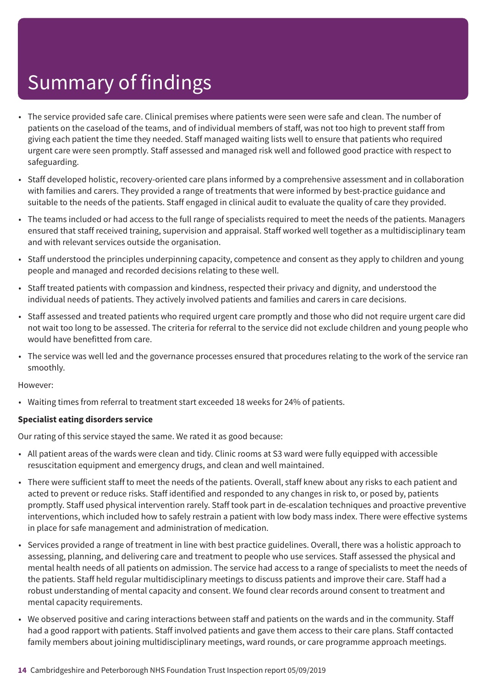- The service provided safe care. Clinical premises where patients were seen were safe and clean. The number of patients on the caseload of the teams, and of individual members of staff, was not too high to prevent staff from giving each patient the time they needed. Staff managed waiting lists well to ensure that patients who required urgent care were seen promptly. Staff assessed and managed risk well and followed good practice with respect to safeguarding.
- Staff developed holistic, recovery-oriented care plans informed by a comprehensive assessment and in collaboration with families and carers. They provided a range of treatments that were informed by best-practice guidance and suitable to the needs of the patients. Staff engaged in clinical audit to evaluate the quality of care they provided.
- The teams included or had access to the full range of specialists required to meet the needs of the patients. Managers ensured that staff received training, supervision and appraisal. Staff worked well together as a multidisciplinary team and with relevant services outside the organisation.
- Staff understood the principles underpinning capacity, competence and consent as they apply to children and young people and managed and recorded decisions relating to these well.
- Staff treated patients with compassion and kindness, respected their privacy and dignity, and understood the individual needs of patients. They actively involved patients and families and carers in care decisions.
- Staff assessed and treated patients who required urgent care promptly and those who did not require urgent care did not wait too long to be assessed. The criteria for referral to the service did not exclude children and young people who would have benefitted from care.
- The service was well led and the governance processes ensured that procedures relating to the work of the service ran smoothly.

#### However:

• Waiting times from referral to treatment start exceeded 18 weeks for 24% of patients.

#### **Specialist eating disorders service**

Our rating of this service stayed the same. We rated it as good because:

- All patient areas of the wards were clean and tidy. Clinic rooms at S3 ward were fully equipped with accessible resuscitation equipment and emergency drugs, and clean and well maintained.
- There were sufficient staff to meet the needs of the patients. Overall, staff knew about any risks to each patient and acted to prevent or reduce risks. Staff identified and responded to any changes in risk to, or posed by, patients promptly. Staff used physical intervention rarely. Staff took part in de-escalation techniques and proactive preventive interventions, which included how to safely restrain a patient with low body mass index. There were effective systems in place for safe management and administration of medication.
- Services provided a range of treatment in line with best practice guidelines. Overall, there was a holistic approach to assessing, planning, and delivering care and treatment to people who use services. Staff assessed the physical and mental health needs of all patients on admission. The service had access to a range of specialists to meet the needs of the patients. Staff held regular multidisciplinary meetings to discuss patients and improve their care. Staff had a robust understanding of mental capacity and consent. We found clear records around consent to treatment and mental capacity requirements.
- We observed positive and caring interactions between staff and patients on the wards and in the community. Staff had a good rapport with patients. Staff involved patients and gave them access to their care plans. Staff contacted family members about joining multidisciplinary meetings, ward rounds, or care programme approach meetings.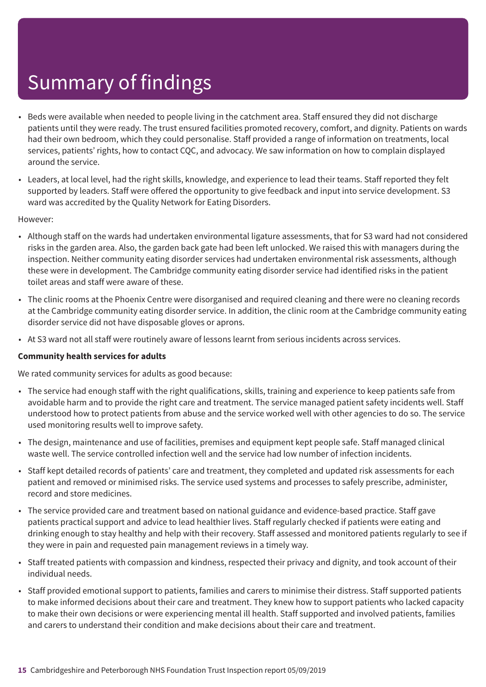- Beds were available when needed to people living in the catchment area. Staff ensured they did not discharge patients until they were ready. The trust ensured facilities promoted recovery, comfort, and dignity. Patients on wards had their own bedroom, which they could personalise. Staff provided a range of information on treatments, local services, patients' rights, how to contact CQC, and advocacy. We saw information on how to complain displayed around the service.
- Leaders, at local level, had the right skills, knowledge, and experience to lead their teams. Staff reported they felt supported by leaders. Staff were offered the opportunity to give feedback and input into service development. S3 ward was accredited by the Quality Network for Eating Disorders.

#### However:

- Although staff on the wards had undertaken environmental ligature assessments, that for S3 ward had not considered risks in the garden area. Also, the garden back gate had been left unlocked. We raised this with managers during the inspection. Neither community eating disorder services had undertaken environmental risk assessments, although these were in development. The Cambridge community eating disorder service had identified risks in the patient toilet areas and staff were aware of these.
- The clinic rooms at the Phoenix Centre were disorganised and required cleaning and there were no cleaning records at the Cambridge community eating disorder service. In addition, the clinic room at the Cambridge community eating disorder service did not have disposable gloves or aprons.
- At S3 ward not all staff were routinely aware of lessons learnt from serious incidents across services.

#### **Community health services for adults**

We rated community services for adults as good because:

- The service had enough staff with the right qualifications, skills, training and experience to keep patients safe from avoidable harm and to provide the right care and treatment. The service managed patient safety incidents well. Staff understood how to protect patients from abuse and the service worked well with other agencies to do so. The service used monitoring results well to improve safety.
- The design, maintenance and use of facilities, premises and equipment kept people safe. Staff managed clinical waste well. The service controlled infection well and the service had low number of infection incidents.
- Staff kept detailed records of patients' care and treatment, they completed and updated risk assessments for each patient and removed or minimised risks. The service used systems and processes to safely prescribe, administer, record and store medicines.
- The service provided care and treatment based on national guidance and evidence-based practice. Staff gave patients practical support and advice to lead healthier lives. Staff regularly checked if patients were eating and drinking enough to stay healthy and help with their recovery. Staff assessed and monitored patients regularly to see if they were in pain and requested pain management reviews in a timely way.
- Staff treated patients with compassion and kindness, respected their privacy and dignity, and took account of their individual needs.
- Staff provided emotional support to patients, families and carers to minimise their distress. Staff supported patients to make informed decisions about their care and treatment. They knew how to support patients who lacked capacity to make their own decisions or were experiencing mental ill health. Staff supported and involved patients, families and carers to understand their condition and make decisions about their care and treatment.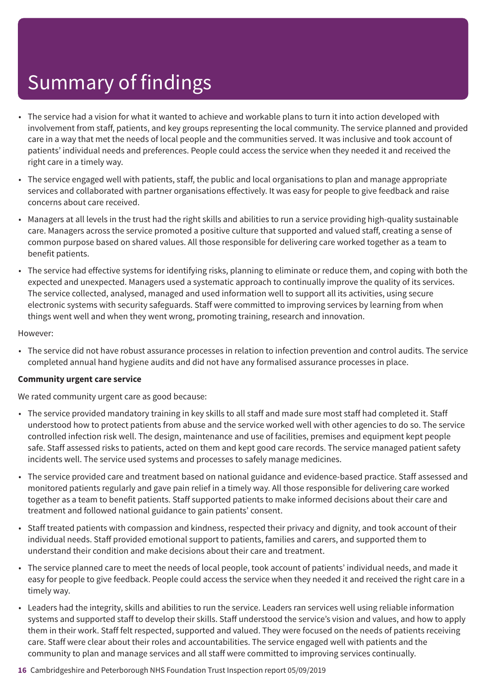- The service had a vision for what it wanted to achieve and workable plans to turn it into action developed with involvement from staff, patients, and key groups representing the local community. The service planned and provided care in a way that met the needs of local people and the communities served. It was inclusive and took account of patients' individual needs and preferences. People could access the service when they needed it and received the right care in a timely way.
- The service engaged well with patients, staff, the public and local organisations to plan and manage appropriate services and collaborated with partner organisations effectively. It was easy for people to give feedback and raise concerns about care received.
- Managers at all levels in the trust had the right skills and abilities to run a service providing high-quality sustainable care. Managers across the service promoted a positive culture that supported and valued staff, creating a sense of common purpose based on shared values. All those responsible for delivering care worked together as a team to benefit patients.
- The service had effective systems for identifying risks, planning to eliminate or reduce them, and coping with both the expected and unexpected. Managers used a systematic approach to continually improve the quality of its services. The service collected, analysed, managed and used information well to support all its activities, using secure electronic systems with security safeguards. Staff were committed to improving services by learning from when things went well and when they went wrong, promoting training, research and innovation.

#### However:

• The service did not have robust assurance processes in relation to infection prevention and control audits. The service completed annual hand hygiene audits and did not have any formalised assurance processes in place.

#### **Community urgent care service**

We rated community urgent care as good because:

- The service provided mandatory training in key skills to all staff and made sure most staff had completed it. Staff understood how to protect patients from abuse and the service worked well with other agencies to do so. The service controlled infection risk well. The design, maintenance and use of facilities, premises and equipment kept people safe. Staff assessed risks to patients, acted on them and kept good care records. The service managed patient safety incidents well. The service used systems and processes to safely manage medicines.
- The service provided care and treatment based on national guidance and evidence-based practice. Staff assessed and monitored patients regularly and gave pain relief in a timely way. All those responsible for delivering care worked together as a team to benefit patients. Staff supported patients to make informed decisions about their care and treatment and followed national guidance to gain patients' consent.
- Staff treated patients with compassion and kindness, respected their privacy and dignity, and took account of their individual needs. Staff provided emotional support to patients, families and carers, and supported them to understand their condition and make decisions about their care and treatment.
- The service planned care to meet the needs of local people, took account of patients' individual needs, and made it easy for people to give feedback. People could access the service when they needed it and received the right care in a timely way.
- Leaders had the integrity, skills and abilities to run the service. Leaders ran services well using reliable information systems and supported staff to develop their skills. Staff understood the service's vision and values, and how to apply them in their work. Staff felt respected, supported and valued. They were focused on the needs of patients receiving care. Staff were clear about their roles and accountabilities. The service engaged well with patients and the community to plan and manage services and all staff were committed to improving services continually.

#### **16** Cambridgeshire and Peterborough NHS Foundation Trust Inspection report 05/09/2019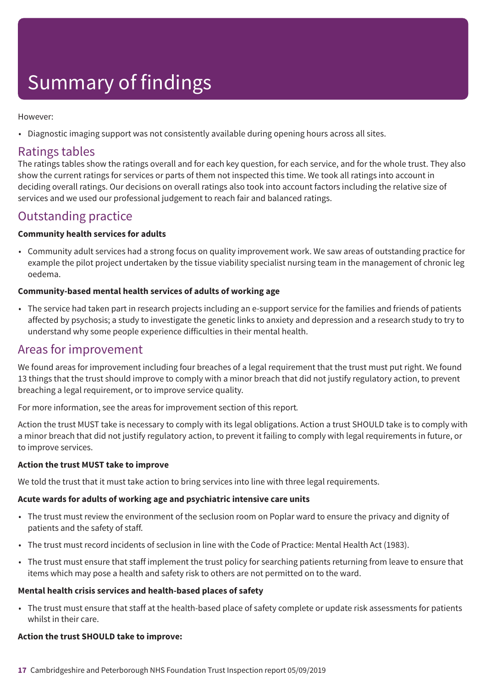However:

• Diagnostic imaging support was not consistently available during opening hours across all sites.

### Ratings tables

The ratings tables show the ratings overall and for each key question, for each service, and for the whole trust. They also show the current ratings for services or parts of them not inspected this time. We took all ratings into account in deciding overall ratings. Our decisions on overall ratings also took into account factors including the relative size of services and we used our professional judgement to reach fair and balanced ratings.

### Outstanding practice

#### **Community health services for adults**

• Community adult services had a strong focus on quality improvement work. We saw areas of outstanding practice for example the pilot project undertaken by the tissue viability specialist nursing team in the management of chronic leg oedema.

#### **Community-based mental health services of adults of working age**

• The service had taken part in research projects including an e-support service for the families and friends of patients affected by psychosis; a study to investigate the genetic links to anxiety and depression and a research study to try to understand why some people experience difficulties in their mental health.

### Areas for improvement

We found areas for improvement including four breaches of a legal requirement that the trust must put right. We found 13 things that the trust should improve to comply with a minor breach that did not justify regulatory action, to prevent breaching a legal requirement, or to improve service quality.

For more information, see the areas for improvement section of this report*.*

Action the trust MUST take is necessary to comply with its legal obligations. Action a trust SHOULD take is to comply with a minor breach that did not justify regulatory action, to prevent it failing to comply with legal requirements in future, or to improve services.

#### **Action the trust MUST take to improve**

We told the trust that it must take action to bring services into line with three legal requirements.

#### **Acute wards for adults of working age and psychiatric intensive care units**

- The trust must review the environment of the seclusion room on Poplar ward to ensure the privacy and dignity of patients and the safety of staff.
- The trust must record incidents of seclusion in line with the Code of Practice: Mental Health Act (1983).
- The trust must ensure that staff implement the trust policy for searching patients returning from leave to ensure that items which may pose a health and safety risk to others are not permitted on to the ward.

#### **Mental health crisis services and health-based places of safety**

• The trust must ensure that staff at the health-based place of safety complete or update risk assessments for patients whilst in their care.

#### **Action the trust SHOULD take to improve:**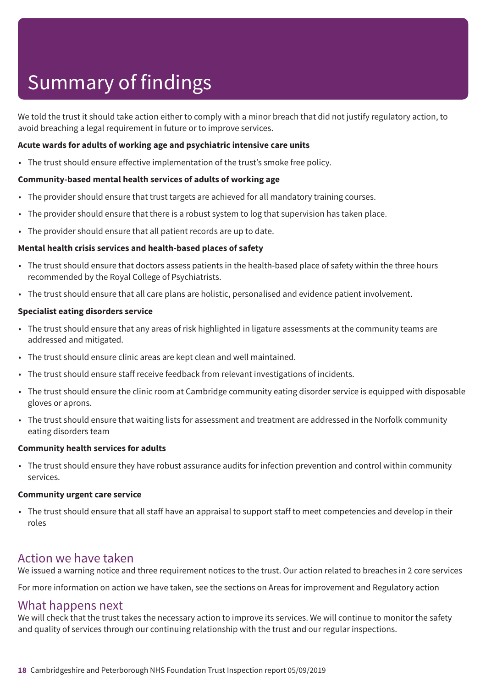We told the trust it should take action either to comply with a minor breach that did not justify regulatory action, to avoid breaching a legal requirement in future or to improve services.

#### **Acute wards for adults of working age and psychiatric intensive care units**

• The trust should ensure effective implementation of the trust's smoke free policy.

#### **Community-based mental health services of adults of working age**

- The provider should ensure that trust targets are achieved for all mandatory training courses.
- The provider should ensure that there is a robust system to log that supervision has taken place.
- The provider should ensure that all patient records are up to date.

#### **Mental health crisis services and health-based places of safety**

- The trust should ensure that doctors assess patients in the health-based place of safety within the three hours recommended by the Royal College of Psychiatrists.
- The trust should ensure that all care plans are holistic, personalised and evidence patient involvement.

#### **Specialist eating disorders service**

- The trust should ensure that any areas of risk highlighted in ligature assessments at the community teams are addressed and mitigated.
- The trust should ensure clinic areas are kept clean and well maintained.
- The trust should ensure staff receive feedback from relevant investigations of incidents.
- The trust should ensure the clinic room at Cambridge community eating disorder service is equipped with disposable gloves or aprons.
- The trust should ensure that waiting lists for assessment and treatment are addressed in the Norfolk community eating disorders team

#### **Community health services for adults**

• The trust should ensure they have robust assurance audits for infection prevention and control within community services.

#### **Community urgent care service**

• The trust should ensure that all staff have an appraisal to support staff to meet competencies and develop in their roles

### Action we have taken

We issued a warning notice and three requirement notices to the trust. Our action related to breaches in 2 core services

For more information on action we have taken, see the sections on Areas for improvement and Regulatory action

### What happens next

We will check that the trust takes the necessary action to improve its services. We will continue to monitor the safety and quality of services through our continuing relationship with the trust and our regular inspections.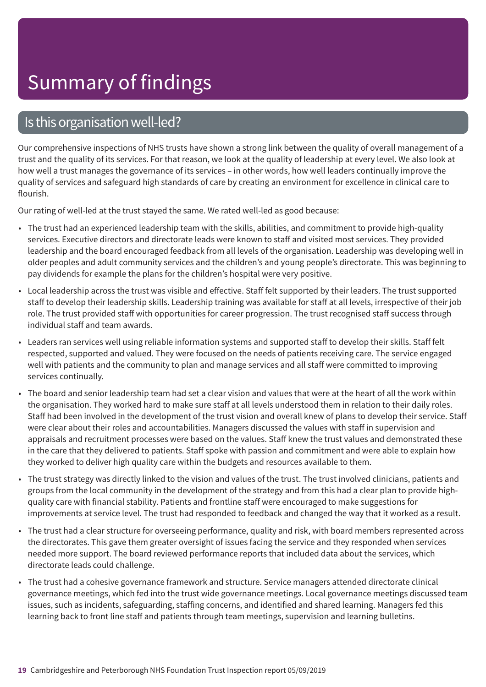### Is this organisation well-led?

Our comprehensive inspections of NHS trusts have shown a strong link between the quality of overall management of a trust and the quality of its services. For that reason, we look at the quality of leadership at every level. We also look at how well a trust manages the governance of its services – in other words, how well leaders continually improve the quality of services and safeguard high standards of care by creating an environment for excellence in clinical care to flourish.

Our rating of well-led at the trust stayed the same. We rated well-led as good because:

- The trust had an experienced leadership team with the skills, abilities, and commitment to provide high-quality services. Executive directors and directorate leads were known to staff and visited most services. They provided leadership and the board encouraged feedback from all levels of the organisation. Leadership was developing well in older peoples and adult community services and the children's and young people's directorate. This was beginning to pay dividends for example the plans for the children's hospital were very positive.
- Local leadership across the trust was visible and effective. Staff felt supported by their leaders. The trust supported staff to develop their leadership skills. Leadership training was available for staff at all levels, irrespective of their job role. The trust provided staff with opportunities for career progression. The trust recognised staff success through individual staff and team awards.
- Leaders ran services well using reliable information systems and supported staff to develop their skills. Staff felt respected, supported and valued. They were focused on the needs of patients receiving care. The service engaged well with patients and the community to plan and manage services and all staff were committed to improving services continually.
- The board and senior leadership team had set a clear vision and values that were at the heart of all the work within the organisation. They worked hard to make sure staff at all levels understood them in relation to their daily roles. Staff had been involved in the development of the trust vision and overall knew of plans to develop their service. Staff were clear about their roles and accountabilities. Managers discussed the values with staff in supervision and appraisals and recruitment processes were based on the values. Staff knew the trust values and demonstrated these in the care that they delivered to patients. Staff spoke with passion and commitment and were able to explain how they worked to deliver high quality care within the budgets and resources available to them.
- The trust strategy was directly linked to the vision and values of the trust. The trust involved clinicians, patients and groups from the local community in the development of the strategy and from this had a clear plan to provide highquality care with financial stability. Patients and frontline staff were encouraged to make suggestions for improvements at service level. The trust had responded to feedback and changed the way that it worked as a result.
- The trust had a clear structure for overseeing performance, quality and risk, with board members represented across the directorates. This gave them greater oversight of issues facing the service and they responded when services needed more support. The board reviewed performance reports that included data about the services, which directorate leads could challenge.
- The trust had a cohesive governance framework and structure. Service managers attended directorate clinical governance meetings, which fed into the trust wide governance meetings. Local governance meetings discussed team issues, such as incidents, safeguarding, staffing concerns, and identified and shared learning. Managers fed this learning back to front line staff and patients through team meetings, supervision and learning bulletins.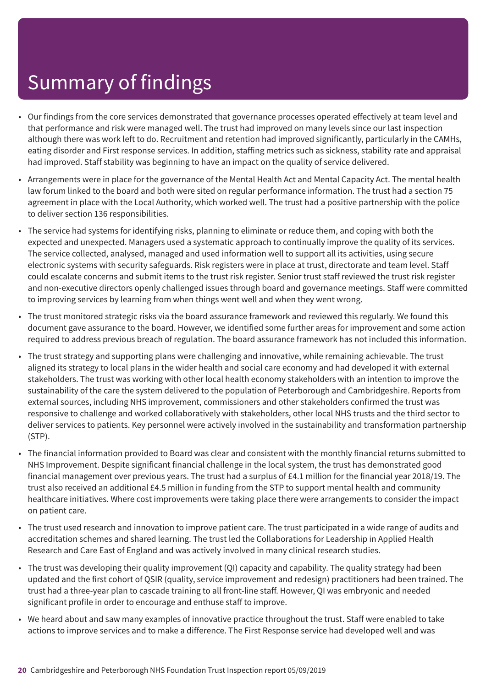- Our findings from the core services demonstrated that governance processes operated effectively at team level and that performance and risk were managed well. The trust had improved on many levels since our last inspection although there was work left to do. Recruitment and retention had improved significantly, particularly in the CAMHs, eating disorder and First response services. In addition, staffing metrics such as sickness, stability rate and appraisal had improved. Staff stability was beginning to have an impact on the quality of service delivered.
- Arrangements were in place for the governance of the Mental Health Act and Mental Capacity Act. The mental health law forum linked to the board and both were sited on regular performance information. The trust had a section 75 agreement in place with the Local Authority, which worked well. The trust had a positive partnership with the police to deliver section 136 responsibilities.
- The service had systems for identifying risks, planning to eliminate or reduce them, and coping with both the expected and unexpected. Managers used a systematic approach to continually improve the quality of its services. The service collected, analysed, managed and used information well to support all its activities, using secure electronic systems with security safeguards. Risk registers were in place at trust, directorate and team level. Staff could escalate concerns and submit items to the trust risk register. Senior trust staff reviewed the trust risk register and non-executive directors openly challenged issues through board and governance meetings. Staff were committed to improving services by learning from when things went well and when they went wrong.
- The trust monitored strategic risks via the board assurance framework and reviewed this regularly. We found this document gave assurance to the board. However, we identified some further areas for improvement and some action required to address previous breach of regulation. The board assurance framework has not included this information.
- The trust strategy and supporting plans were challenging and innovative, while remaining achievable. The trust aligned its strategy to local plans in the wider health and social care economy and had developed it with external stakeholders. The trust was working with other local health economy stakeholders with an intention to improve the sustainability of the care the system delivered to the population of Peterborough and Cambridgeshire. Reports from external sources, including NHS improvement, commissioners and other stakeholders confirmed the trust was responsive to challenge and worked collaboratively with stakeholders, other local NHS trusts and the third sector to deliver services to patients. Key personnel were actively involved in the sustainability and transformation partnership (STP).
- The financial information provided to Board was clear and consistent with the monthly financial returns submitted to NHS Improvement. Despite significant financial challenge in the local system, the trust has demonstrated good financial management over previous years. The trust had a surplus of £4.1 million for the financial year 2018/19. The trust also received an additional £4.5 million in funding from the STP to support mental health and community healthcare initiatives. Where cost improvements were taking place there were arrangements to consider the impact on patient care.
- The trust used research and innovation to improve patient care. The trust participated in a wide range of audits and accreditation schemes and shared learning. The trust led the Collaborations for Leadership in Applied Health Research and Care East of England and was actively involved in many clinical research studies.
- The trust was developing their quality improvement (QI) capacity and capability. The quality strategy had been updated and the first cohort of QSIR (quality, service improvement and redesign) practitioners had been trained. The trust had a three-year plan to cascade training to all front-line staff. However, QI was embryonic and needed significant profile in order to encourage and enthuse staff to improve.
- We heard about and saw many examples of innovative practice throughout the trust. Staff were enabled to take actions to improve services and to make a difference. The First Response service had developed well and was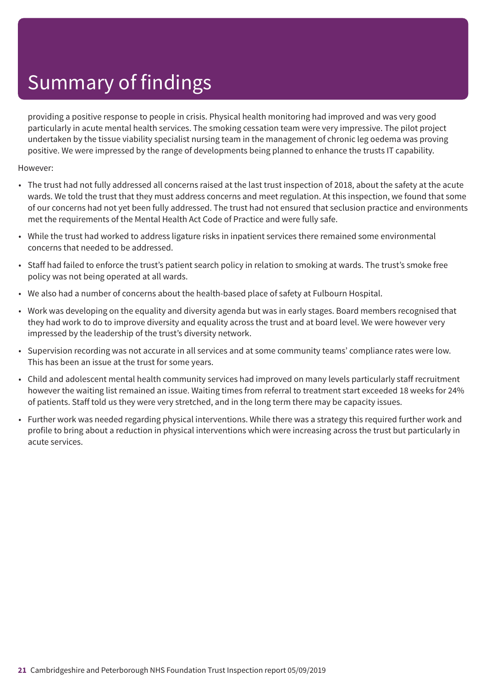providing a positive response to people in crisis. Physical health monitoring had improved and was very good particularly in acute mental health services. The smoking cessation team were very impressive. The pilot project undertaken by the tissue viability specialist nursing team in the management of chronic leg oedema was proving positive. We were impressed by the range of developments being planned to enhance the trusts IT capability.

However:

- The trust had not fully addressed all concerns raised at the last trust inspection of 2018, about the safety at the acute wards. We told the trust that they must address concerns and meet regulation. At this inspection, we found that some of our concerns had not yet been fully addressed. The trust had not ensured that seclusion practice and environments met the requirements of the Mental Health Act Code of Practice and were fully safe.
- While the trust had worked to address ligature risks in inpatient services there remained some environmental concerns that needed to be addressed.
- Staff had failed to enforce the trust's patient search policy in relation to smoking at wards. The trust's smoke free policy was not being operated at all wards.
- We also had a number of concerns about the health-based place of safety at Fulbourn Hospital.
- Work was developing on the equality and diversity agenda but was in early stages. Board members recognised that they had work to do to improve diversity and equality across the trust and at board level. We were however very impressed by the leadership of the trust's diversity network.
- Supervision recording was not accurate in all services and at some community teams' compliance rates were low. This has been an issue at the trust for some years.
- Child and adolescent mental health community services had improved on many levels particularly staff recruitment however the waiting list remained an issue. Waiting times from referral to treatment start exceeded 18 weeks for 24% of patients. Staff told us they were very stretched, and in the long term there may be capacity issues.
- Further work was needed regarding physical interventions. While there was a strategy this required further work and profile to bring about a reduction in physical interventions which were increasing across the trust but particularly in acute services.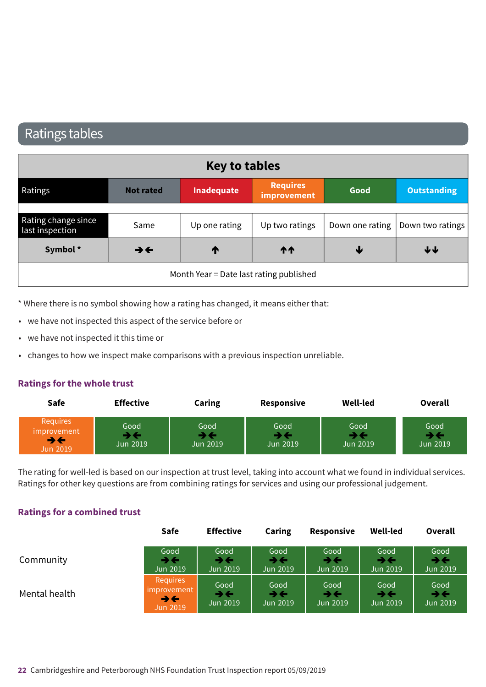### Ratings tables

|                                         |                          | <b>Key to tables</b> |                                |      |                                    |
|-----------------------------------------|--------------------------|----------------------|--------------------------------|------|------------------------------------|
| Ratings                                 | <b>Not rated</b>         | Inadequate           | <b>Requires</b><br>improvement | Good | <b>Outstanding</b>                 |
|                                         |                          |                      |                                |      |                                    |
| Rating change since<br>last inspection  | Same                     | Up one rating        | Up two ratings                 |      | Down one rating   Down two ratings |
| Symbol*                                 | $\rightarrow \leftarrow$ | T                    | <b>11</b>                      | ₩    | $\bigtriangledown$                 |
| Month Year = Date last rating published |                          |                      |                                |      |                                    |

\* Where there is no symbol showing how a rating has changed, it means either that:

- we have not inspected this aspect of the service before or
- we have not inspected it this time or
- changes to how we inspect make comparisons with a previous inspection unreliable.

#### **Ratings for the whole trust**

| <b>Safe</b>                                      | <b>Effective</b>        | Caring                  | <b>Responsive</b> | Well-led              | <b>Overall</b>                                        |
|--------------------------------------------------|-------------------------|-------------------------|-------------------|-----------------------|-------------------------------------------------------|
| Requires<br>improvement<br>→←<br><b>Jun 2019</b> | Good<br><b>Jun 2019</b> | Good<br><b>Jun 2019</b> | Good<br>Jun 2019  | Good<br>∙<br>Jun 2019 | Good<br>$\blacktriangleright\,\Leftarrow$<br>Jun 2019 |

The rating for well-led is based on our inspection at trust level, taking into account what we found in individual services. Ratings for other key questions are from combining ratings for services and using our professional judgement.

#### **Ratings for a combined trust**

|               | <b>Safe</b>                                                            | <b>Effective</b>       | <b>Caring</b>          | <b>Responsive</b>      | <b>Well-led</b>        | Overall                                      |  |
|---------------|------------------------------------------------------------------------|------------------------|------------------------|------------------------|------------------------|----------------------------------------------|--|
| Community     | Good<br>うそ<br><b>Jun 2019</b>                                          | Good<br>→←<br>Jun 2019 | Good<br>→←<br>Jun 2019 | Good<br>→←<br>Jun 2019 | Good<br>→←<br>Jun 2019 | Good<br>$\rightarrow \leftarrow$<br>Jun 2019 |  |
| Mental health | Requires<br>improvement<br>$\rightarrow \leftarrow$<br><b>Jun 2019</b> | Good<br>うそ<br>Jun 2019 | Good<br>→←<br>Jun 2019 | Good<br>→←<br>Jun 2019 | Good<br>→←<br>Jun 2019 | Good<br>$\rightarrow \leftarrow$<br>Jun 2019 |  |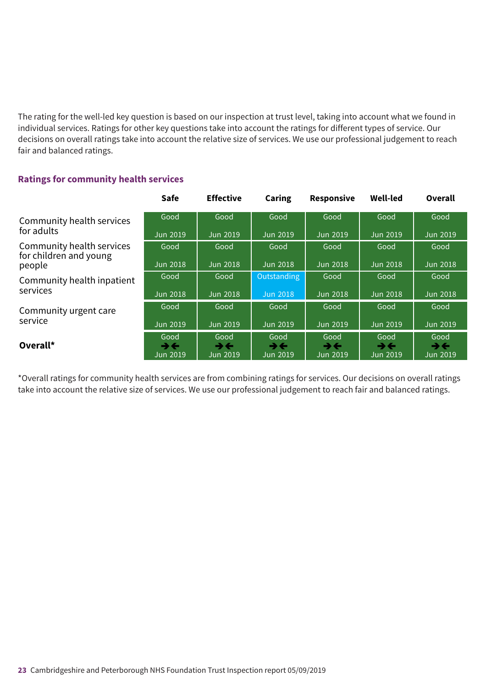The rating for the well-led key question is based on our inspection at trust level, taking into account what we found in individual services. Ratings for other key questions take into account the ratings for different types of service. Our decisions on overall ratings take into account the relative size of services. We use our professional judgement to reach fair and balanced ratings.

#### **Ratings for community health services**

|                                                     | <b>Safe</b>            | <b>Effective</b>       | <b>Caring</b>                                | <b>Responsive</b>      | <b>Well-led</b>                              | Overall                                      |
|-----------------------------------------------------|------------------------|------------------------|----------------------------------------------|------------------------|----------------------------------------------|----------------------------------------------|
| Community health services                           | Good                   | Good                   | Good                                         | Good                   | Good                                         | Good                                         |
| for adults                                          | Jun 2019               | Jun 2019               | <b>Jun 2019</b>                              | Jun 2019               | <b>Jun 2019</b>                              | Jun 2019                                     |
| Community health services<br>for children and young | Good                   | Good                   | Good                                         | Good                   | Good                                         | Good                                         |
| people                                              | <b>Jun 2018</b>        | Jun 2018               | <b>Jun 2018</b>                              | Jun 2018               | <b>Jun 2018</b>                              | Jun 2018                                     |
| Community health inpatient<br>services              | Good                   | Good                   | Outstanding                                  | Good                   | Good                                         | Good                                         |
|                                                     | <b>Jun 2018</b>        | Jun 2018               | <b>Jun 2018</b>                              | Jun 2018               | <b>Jun 2018</b>                              | Jun 2018                                     |
| Community urgent care                               | Good                   | Good                   | Good                                         | Good                   | Good                                         | Good                                         |
| service                                             | Jun 2019               | Jun 2019               | <b>Jun 2019</b>                              | Jun 2019               | <b>Jun 2019</b>                              | Jun 2019                                     |
| Overall*                                            | Good<br>→←<br>Jun 2019 | Good<br>→←<br>Jun 2019 | Good<br>$\rightarrow \leftarrow$<br>Jun 2019 | Good<br>→←<br>Jun 2019 | Good<br>$\rightarrow \leftarrow$<br>Jun 2019 | Good<br>$\rightarrow \leftarrow$<br>Jun 2019 |

\*Overall ratings for community health services are from combining ratings for services. Our decisions on overall ratings take into account the relative size of services. We use our professional judgement to reach fair and balanced ratings.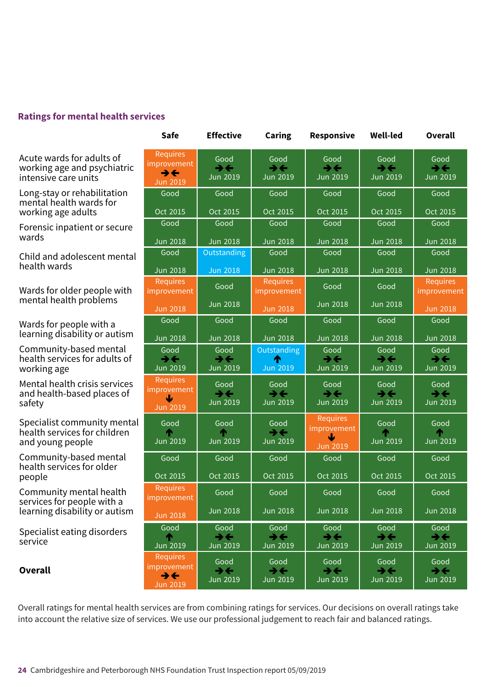#### **Ratings for mental health services**

Acute wards for adults of working age and psychiatric intensive care units

> Long-stay or rehabilitation mental health wards for working age adults

Forensic inpatient or secure nonensie<br>wards

Child and adolescent mental enne and der

Wards for older people with mental health problems

Wards for people with a wards io: people with a<br>learning disability or autism

Community-based mental health services for adults of working age same-relating s

> Mental health crisis services and health-based places of safety

> > Specialist community mental health services for children and young people

> > > Community-based mental health services for older people

Community mental health services for people with a learning disability or autism

Specialist eating disorders service upone-rating same-r–––ating same-r–––ating same-r–––ating same-r–––ating same-r–––ating

> **Overall** Overall

| Safe                                                                          | <b>Effective</b>                                    | Caring                                              | <b>Responsive</b>                                   | Well-led                                            | <b>Overall</b>                                      |
|-------------------------------------------------------------------------------|-----------------------------------------------------|-----------------------------------------------------|-----------------------------------------------------|-----------------------------------------------------|-----------------------------------------------------|
| <b>Requires</b><br>improvement<br>$\rightarrow \leftarrow$<br><b>Jun 2019</b> | Good<br>$\rightarrow \leftarrow$<br><b>Jun 2019</b> | Good<br>$\rightarrow \leftarrow$<br><b>Jun 2019</b> | Good<br>$\rightarrow \leftarrow$<br><b>Jun 2019</b> | Good<br>$\rightarrow \leftarrow$<br><b>Jun 2019</b> | Good<br>$\rightarrow \leftarrow$<br><b>Jun 2019</b> |
| Good                                                                          | Good                                                | Good                                                | Good                                                | Good                                                | Good                                                |
| Oct 2015                                                                      | Oct 2015                                            | Oct 2015                                            | Oct 2015                                            | Oct 2015                                            | Oct 2015                                            |
| Good                                                                          | Good                                                | Good                                                | Good                                                | Good                                                | Good                                                |
| <b>Jun 2018</b>                                                               | <b>Jun 2018</b>                                     | <b>Jun 2018</b>                                     | <b>Jun 2018</b>                                     | <b>Jun 2018</b>                                     | <b>Jun 2018</b>                                     |
| Good                                                                          | Outstanding                                         | Good                                                | Good                                                | Good                                                | Good                                                |
| <b>Jun 2018</b>                                                               | <b>Jun 2018</b>                                     | <b>Jun 2018</b>                                     | <b>Jun 2018</b>                                     | <b>Jun 2018</b>                                     | <b>Jun 2018</b>                                     |
| <b>Requires</b><br>improvement                                                | Good                                                | Requires<br>improvement                             | Good                                                | Good                                                | Requires<br>improvement                             |
| <b>Jun 2018</b>                                                               | <b>Jun 2018</b>                                     | <b>Jun 2018</b>                                     | <b>Jun 2018</b>                                     | <b>Jun 2018</b>                                     | <b>Jun 2018</b>                                     |
| Good                                                                          | Good                                                | Good                                                | Good                                                | Good                                                | Good                                                |
| <b>Jun 2018</b>                                                               | <b>Jun 2018</b>                                     | <b>Jun 2018</b>                                     | <b>Jun 2018</b>                                     | <b>Jun 2018</b>                                     | <b>Jun 2018</b>                                     |
| Good                                                                          | Good                                                | Outstanding                                         | Good                                                | Good                                                | Good                                                |
| $\rightarrow \leftarrow$<br><b>Jun 2019</b>                                   | $\rightarrow \leftarrow$<br><b>Jun 2019</b>         | ⋔<br><b>Jun 2019</b>                                | $\rightarrow \leftarrow$<br><b>Jun 2019</b>         | $\rightarrow \leftarrow$<br><b>Jun 2019</b>         | $\rightarrow \leftarrow$<br><b>Jun 2019</b>         |
| Requires                                                                      | Good                                                | Good                                                | Good                                                | Good                                                | Good                                                |
| improvement<br>Ψ                                                              | $\rightarrow \leftarrow$                            | $\rightarrow \leftarrow$                            | $\rightarrow \leftarrow$                            | $\rightarrow \leftarrow$                            | $\rightarrow \leftarrow$                            |
| <b>Jun 2019</b>                                                               | <b>Jun 2019</b>                                     | <b>Jun 2019</b>                                     | <b>Jun 2019</b>                                     | <b>Jun 2019</b>                                     | <b>Jun 2019</b>                                     |
| Good                                                                          | Good                                                | Good                                                | <b>Requires</b><br>improvement                      | Good                                                | Good                                                |
| <b>Jun 2019</b>                                                               | Φ<br>Jun 2019                                       | $\rightarrow \leftarrow$<br><b>Jun 2019</b>         | ↓                                                   | <b>Jun 2019</b>                                     | T<br><b>Jun 2019</b>                                |
|                                                                               |                                                     |                                                     | <b>Jun 2019</b>                                     |                                                     |                                                     |
| Good                                                                          | Good                                                | Good                                                | Good                                                | Good                                                | Good                                                |
| Oct 2015                                                                      | Oct 2015                                            | Oct 2015                                            | Oct 2015                                            | Oct 2015                                            | Oct 2015                                            |
| Requires<br>improvement                                                       | Good                                                | Good                                                | Good                                                | Good                                                | Good                                                |
| <b>Jun 2018</b>                                                               | <b>Jun 2018</b>                                     | Jun 2018                                            | <b>Jun 2018</b>                                     | <b>Jun 2018</b>                                     | <b>Jun 2018</b>                                     |
| Good                                                                          | Good                                                | Good                                                | Good                                                | Good                                                | Good                                                |
| ♠<br>Jun 2019                                                                 | $\rightarrow \leftarrow$<br><b>Jun 2019</b>         | $\rightarrow \leftarrow$<br>Jun 2019                | $\rightarrow \leftarrow$<br><b>Jun 2019</b>         | $\rightarrow \leftarrow$<br><b>Jun 2019</b>         | $\rightarrow \leftarrow$<br>Jun 2019                |
| <b>Requires</b>                                                               |                                                     |                                                     |                                                     |                                                     |                                                     |
| improvement                                                                   | Good<br>$\rightarrow \leftarrow$                    | Good<br>$\rightarrow \leftarrow$                    | Good<br>$\rightarrow \leftarrow$                    | Good<br>$\rightarrow \leftarrow$                    | Good<br>$\rightarrow \leftarrow$                    |
| $\rightarrow \leftarrow$<br><b>Jun 2019</b>                                   | <b>Jun 2019</b>                                     | Jun 2019                                            | <b>Jun 2019</b>                                     | <b>Jun 2019</b>                                     | Jun 2019                                            |

Overall ratings for mental health services are from combining ratings for services. Our decisions on overall ratings take into account the relative size of services. We use our professional judgement to reach fair and balanced ratings.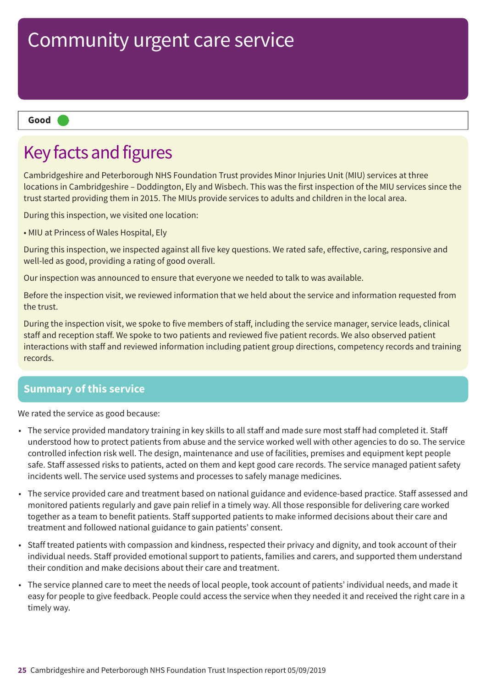#### **Good –––**

### Key facts and figures

Cambridgeshire and Peterborough NHS Foundation Trust provides Minor Injuries Unit (MIU) services at three locations in Cambridgeshire – Doddington, Ely and Wisbech. This was the first inspection of the MIU services since the trust started providing them in 2015. The MIUs provide services to adults and children in the local area.

During this inspection, we visited one location:

• MIU at Princess of Wales Hospital, Ely

During this inspection, we inspected against all five key questions. We rated safe, effective, caring, responsive and well-led as good, providing a rating of good overall.

Our inspection was announced to ensure that everyone we needed to talk to was available.

Before the inspection visit, we reviewed information that we held about the service and information requested from the trust.

During the inspection visit, we spoke to five members of staff, including the service manager, service leads, clinical staff and reception staff. We spoke to two patients and reviewed five patient records. We also observed patient interactions with staff and reviewed information including patient group directions, competency records and training records.

### **Summary of this service**

We rated the service as good because:

- The service provided mandatory training in key skills to all staff and made sure most staff had completed it. Staff understood how to protect patients from abuse and the service worked well with other agencies to do so. The service controlled infection risk well. The design, maintenance and use of facilities, premises and equipment kept people safe. Staff assessed risks to patients, acted on them and kept good care records. The service managed patient safety incidents well. The service used systems and processes to safely manage medicines.
- The service provided care and treatment based on national guidance and evidence-based practice. Staff assessed and monitored patients regularly and gave pain relief in a timely way. All those responsible for delivering care worked together as a team to benefit patients. Staff supported patients to make informed decisions about their care and treatment and followed national guidance to gain patients' consent.
- Staff treated patients with compassion and kindness, respected their privacy and dignity, and took account of their individual needs. Staff provided emotional support to patients, families and carers, and supported them understand their condition and make decisions about their care and treatment.
- The service planned care to meet the needs of local people, took account of patients' individual needs, and made it easy for people to give feedback. People could access the service when they needed it and received the right care in a timely way.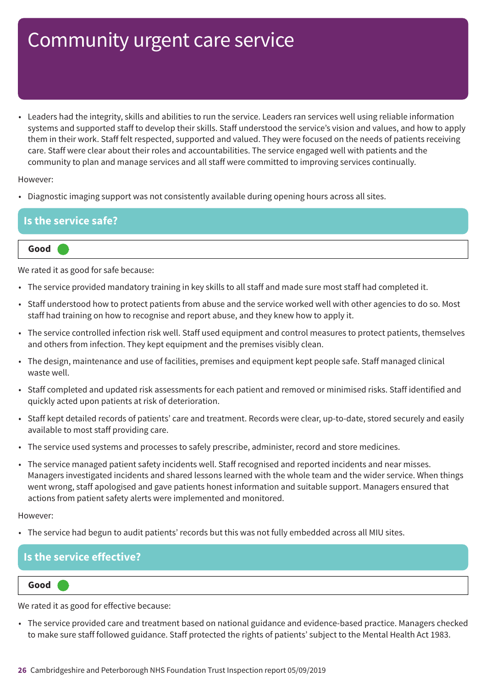• Leaders had the integrity, skills and abilities to run the service. Leaders ran services well using reliable information systems and supported staff to develop their skills. Staff understood the service's vision and values, and how to apply them in their work. Staff felt respected, supported and valued. They were focused on the needs of patients receiving care. Staff were clear about their roles and accountabilities. The service engaged well with patients and the community to plan and manage services and all staff were committed to improving services continually.

However:

• Diagnostic imaging support was not consistently available during opening hours across all sites.

# **Is the service safe?**

**Good –––**

We rated it as good for safe because:

- The service provided mandatory training in key skills to all staff and made sure most staff had completed it.
- Staff understood how to protect patients from abuse and the service worked well with other agencies to do so. Most staff had training on how to recognise and report abuse, and they knew how to apply it.
- The service controlled infection risk well. Staff used equipment and control measures to protect patients, themselves and others from infection. They kept equipment and the premises visibly clean.
- The design, maintenance and use of facilities, premises and equipment kept people safe. Staff managed clinical waste well.
- Staff completed and updated risk assessments for each patient and removed or minimised risks. Staff identified and quickly acted upon patients at risk of deterioration.
- Staff kept detailed records of patients' care and treatment. Records were clear, up-to-date, stored securely and easily available to most staff providing care.
- The service used systems and processes to safely prescribe, administer, record and store medicines.
- The service managed patient safety incidents well. Staff recognised and reported incidents and near misses. Managers investigated incidents and shared lessons learned with the whole team and the wider service. When things went wrong, staff apologised and gave patients honest information and suitable support. Managers ensured that actions from patient safety alerts were implemented and monitored.

However:

• The service had begun to audit patients' records but this was not fully embedded across all MIU sites.

### **Is the service effective?**

**Good –––**

We rated it as good for effective because:

• The service provided care and treatment based on national guidance and evidence-based practice. Managers checked to make sure staff followed guidance. Staff protected the rights of patients' subject to the Mental Health Act 1983.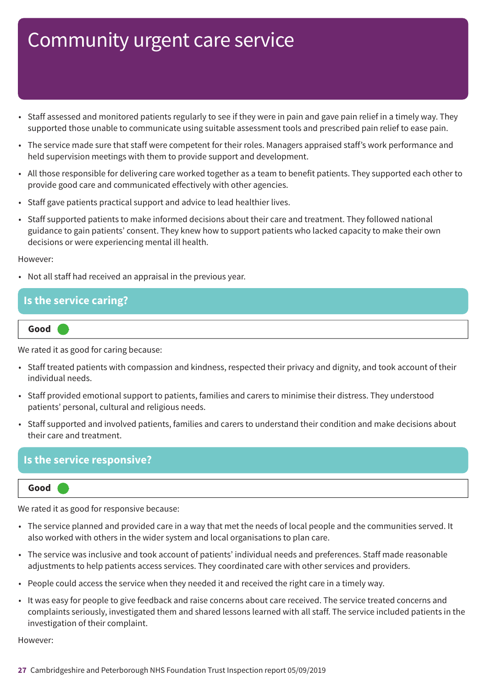- Staff assessed and monitored patients regularly to see if they were in pain and gave pain relief in a timely way. They supported those unable to communicate using suitable assessment tools and prescribed pain relief to ease pain.
- The service made sure that staff were competent for their roles. Managers appraised staff's work performance and held supervision meetings with them to provide support and development.
- All those responsible for delivering care worked together as a team to benefit patients. They supported each other to provide good care and communicated effectively with other agencies.
- Staff gave patients practical support and advice to lead healthier lives.
- Staff supported patients to make informed decisions about their care and treatment. They followed national guidance to gain patients' consent. They knew how to support patients who lacked capacity to make their own decisions or were experiencing mental ill health.

However:

• Not all staff had received an appraisal in the previous year.

### **Is the service caring?**



We rated it as good for caring because:

- Staff treated patients with compassion and kindness, respected their privacy and dignity, and took account of their individual needs.
- Staff provided emotional support to patients, families and carers to minimise their distress. They understood patients' personal, cultural and religious needs.
- Staff supported and involved patients, families and carers to understand their condition and make decisions about their care and treatment.

### **Is the service responsive?**

**Good –––**

We rated it as good for responsive because:

- The service planned and provided care in a way that met the needs of local people and the communities served. It also worked with others in the wider system and local organisations to plan care.
- The service was inclusive and took account of patients' individual needs and preferences. Staff made reasonable adjustments to help patients access services. They coordinated care with other services and providers.
- People could access the service when they needed it and received the right care in a timely way.
- It was easy for people to give feedback and raise concerns about care received. The service treated concerns and complaints seriously, investigated them and shared lessons learned with all staff. The service included patients in the investigation of their complaint.

However: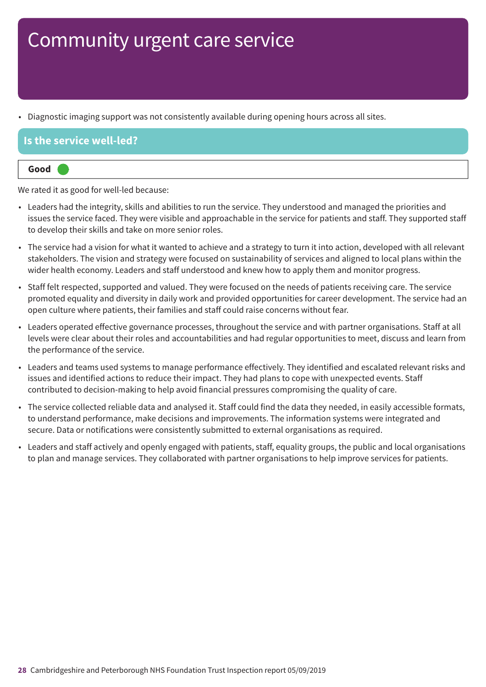• Diagnostic imaging support was not consistently available during opening hours across all sites.

### **Is the service well-led?**

| lood |  |  |  |
|------|--|--|--|
|      |  |  |  |

We rated it as good for well-led because:

- Leaders had the integrity, skills and abilities to run the service. They understood and managed the priorities and issues the service faced. They were visible and approachable in the service for patients and staff. They supported staff to develop their skills and take on more senior roles.
- The service had a vision for what it wanted to achieve and a strategy to turn it into action, developed with all relevant stakeholders. The vision and strategy were focused on sustainability of services and aligned to local plans within the wider health economy. Leaders and staff understood and knew how to apply them and monitor progress.
- Staff felt respected, supported and valued. They were focused on the needs of patients receiving care. The service promoted equality and diversity in daily work and provided opportunities for career development. The service had an open culture where patients, their families and staff could raise concerns without fear.
- Leaders operated effective governance processes, throughout the service and with partner organisations. Staff at all levels were clear about their roles and accountabilities and had regular opportunities to meet, discuss and learn from the performance of the service.
- Leaders and teams used systems to manage performance effectively. They identified and escalated relevant risks and issues and identified actions to reduce their impact. They had plans to cope with unexpected events. Staff contributed to decision-making to help avoid financial pressures compromising the quality of care.
- The service collected reliable data and analysed it. Staff could find the data they needed, in easily accessible formats, to understand performance, make decisions and improvements. The information systems were integrated and secure. Data or notifications were consistently submitted to external organisations as required.
- Leaders and staff actively and openly engaged with patients, staff, equality groups, the public and local organisations to plan and manage services. They collaborated with partner organisations to help improve services for patients.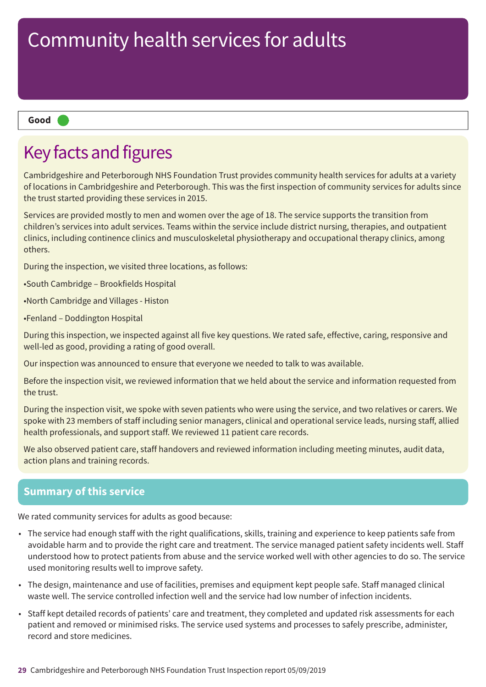#### **Good –––**

### Key facts and figures

Cambridgeshire and Peterborough NHS Foundation Trust provides community health services for adults at a variety of locations in Cambridgeshire and Peterborough. This was the first inspection of community services for adults since the trust started providing these services in 2015.

Services are provided mostly to men and women over the age of 18. The service supports the transition from children's services into adult services. Teams within the service include district nursing, therapies, and outpatient clinics, including continence clinics and musculoskeletal physiotherapy and occupational therapy clinics, among others.

During the inspection, we visited three locations, as follows:

•South Cambridge – Brookfields Hospital

•North Cambridge and Villages - Histon

•Fenland – Doddington Hospital

During this inspection, we inspected against all five key questions. We rated safe, effective, caring, responsive and well-led as good, providing a rating of good overall.

Our inspection was announced to ensure that everyone we needed to talk to was available.

Before the inspection visit, we reviewed information that we held about the service and information requested from the trust.

During the inspection visit, we spoke with seven patients who were using the service, and two relatives or carers. We spoke with 23 members of staff including senior managers, clinical and operational service leads, nursing staff, allied health professionals, and support staff. We reviewed 11 patient care records.

We also observed patient care, staff handovers and reviewed information including meeting minutes, audit data, action plans and training records.

### **Summary of this service**

We rated community services for adults as good because:

- The service had enough staff with the right qualifications, skills, training and experience to keep patients safe from avoidable harm and to provide the right care and treatment. The service managed patient safety incidents well. Staff understood how to protect patients from abuse and the service worked well with other agencies to do so. The service used monitoring results well to improve safety.
- The design, maintenance and use of facilities, premises and equipment kept people safe. Staff managed clinical waste well. The service controlled infection well and the service had low number of infection incidents.
- Staff kept detailed records of patients' care and treatment, they completed and updated risk assessments for each patient and removed or minimised risks. The service used systems and processes to safely prescribe, administer, record and store medicines.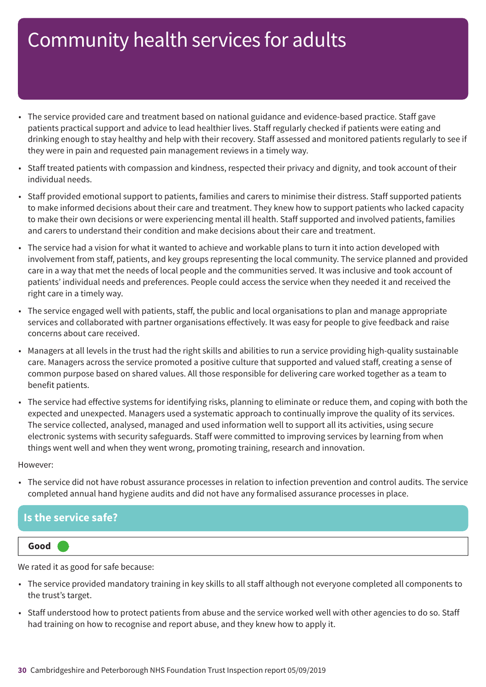- The service provided care and treatment based on national guidance and evidence-based practice. Staff gave patients practical support and advice to lead healthier lives. Staff regularly checked if patients were eating and drinking enough to stay healthy and help with their recovery. Staff assessed and monitored patients regularly to see if they were in pain and requested pain management reviews in a timely way.
- Staff treated patients with compassion and kindness, respected their privacy and dignity, and took account of their individual needs.
- Staff provided emotional support to patients, families and carers to minimise their distress. Staff supported patients to make informed decisions about their care and treatment. They knew how to support patients who lacked capacity to make their own decisions or were experiencing mental ill health. Staff supported and involved patients, families and carers to understand their condition and make decisions about their care and treatment.
- The service had a vision for what it wanted to achieve and workable plans to turn it into action developed with involvement from staff, patients, and key groups representing the local community. The service planned and provided care in a way that met the needs of local people and the communities served. It was inclusive and took account of patients' individual needs and preferences. People could access the service when they needed it and received the right care in a timely way.
- The service engaged well with patients, staff, the public and local organisations to plan and manage appropriate services and collaborated with partner organisations effectively. It was easy for people to give feedback and raise concerns about care received.
- Managers at all levels in the trust had the right skills and abilities to run a service providing high-quality sustainable care. Managers across the service promoted a positive culture that supported and valued staff, creating a sense of common purpose based on shared values. All those responsible for delivering care worked together as a team to benefit patients.
- The service had effective systems for identifying risks, planning to eliminate or reduce them, and coping with both the expected and unexpected. Managers used a systematic approach to continually improve the quality of its services. The service collected, analysed, managed and used information well to support all its activities, using secure electronic systems with security safeguards. Staff were committed to improving services by learning from when things went well and when they went wrong, promoting training, research and innovation.

However:

• The service did not have robust assurance processes in relation to infection prevention and control audits. The service completed annual hand hygiene audits and did not have any formalised assurance processes in place.

### **Is the service safe?**

### **Good –––**

We rated it as good for safe because:

- The service provided mandatory training in key skills to all staff although not everyone completed all components to the trust's target.
- Staff understood how to protect patients from abuse and the service worked well with other agencies to do so. Staff had training on how to recognise and report abuse, and they knew how to apply it.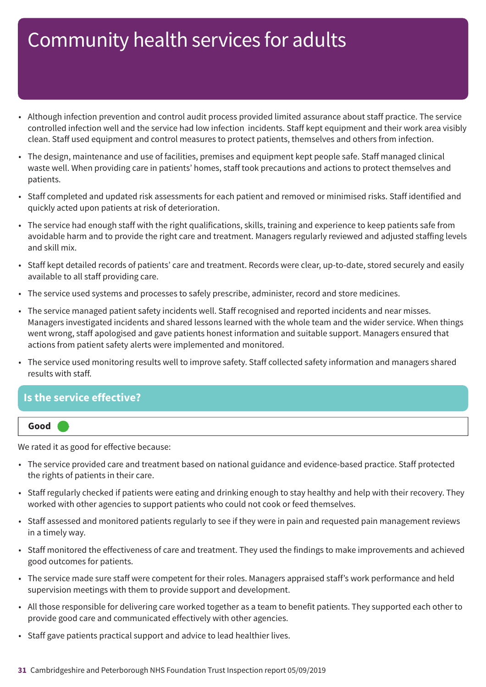- Although infection prevention and control audit process provided limited assurance about staff practice. The service controlled infection well and the service had low infection incidents. Staff kept equipment and their work area visibly clean. Staff used equipment and control measures to protect patients, themselves and others from infection.
- The design, maintenance and use of facilities, premises and equipment kept people safe. Staff managed clinical waste well. When providing care in patients' homes, staff took precautions and actions to protect themselves and patients.
- Staff completed and updated risk assessments for each patient and removed or minimised risks. Staff identified and quickly acted upon patients at risk of deterioration.
- The service had enough staff with the right qualifications, skills, training and experience to keep patients safe from avoidable harm and to provide the right care and treatment. Managers regularly reviewed and adjusted staffing levels and skill mix.
- Staff kept detailed records of patients' care and treatment. Records were clear, up-to-date, stored securely and easily available to all staff providing care.
- The service used systems and processes to safely prescribe, administer, record and store medicines.
- The service managed patient safety incidents well. Staff recognised and reported incidents and near misses. Managers investigated incidents and shared lessons learned with the whole team and the wider service. When things went wrong, staff apologised and gave patients honest information and suitable support. Managers ensured that actions from patient safety alerts were implemented and monitored.
- The service used monitoring results well to improve safety. Staff collected safety information and managers shared results with staff.

### **Is the service effective?**



We rated it as good for effective because:

- The service provided care and treatment based on national guidance and evidence-based practice. Staff protected the rights of patients in their care.
- Staff regularly checked if patients were eating and drinking enough to stay healthy and help with their recovery. They worked with other agencies to support patients who could not cook or feed themselves.
- Staff assessed and monitored patients regularly to see if they were in pain and requested pain management reviews in a timely way.
- Staff monitored the effectiveness of care and treatment. They used the findings to make improvements and achieved good outcomes for patients.
- The service made sure staff were competent for their roles. Managers appraised staff's work performance and held supervision meetings with them to provide support and development.
- All those responsible for delivering care worked together as a team to benefit patients. They supported each other to provide good care and communicated effectively with other agencies.
- Staff gave patients practical support and advice to lead healthier lives.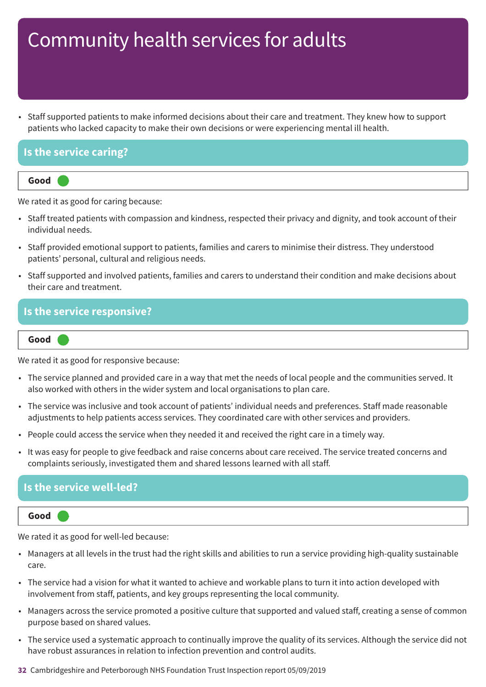• Staff supported patients to make informed decisions about their care and treatment. They knew how to support patients who lacked capacity to make their own decisions or were experiencing mental ill health.

### **Is the service caring?**



We rated it as good for caring because:

- Staff treated patients with compassion and kindness, respected their privacy and dignity, and took account of their individual needs.
- Staff provided emotional support to patients, families and carers to minimise their distress. They understood patients' personal, cultural and religious needs.
- Staff supported and involved patients, families and carers to understand their condition and make decisions about their care and treatment.

### **Is the service responsive?**

#### **Good –––**

We rated it as good for responsive because:

- The service planned and provided care in a way that met the needs of local people and the communities served. It also worked with others in the wider system and local organisations to plan care.
- The service was inclusive and took account of patients' individual needs and preferences. Staff made reasonable adjustments to help patients access services. They coordinated care with other services and providers.
- People could access the service when they needed it and received the right care in a timely way.
- It was easy for people to give feedback and raise concerns about care received. The service treated concerns and complaints seriously, investigated them and shared lessons learned with all staff.

### **Is the service well-led?**

**Good –––**

We rated it as good for well-led because:

- Managers at all levels in the trust had the right skills and abilities to run a service providing high-quality sustainable care.
- The service had a vision for what it wanted to achieve and workable plans to turn it into action developed with involvement from staff, patients, and key groups representing the local community.
- Managers across the service promoted a positive culture that supported and valued staff, creating a sense of common purpose based on shared values.
- The service used a systematic approach to continually improve the quality of its services. Although the service did not have robust assurances in relation to infection prevention and control audits.

**32** Cambridgeshire and Peterborough NHS Foundation Trust Inspection report 05/09/2019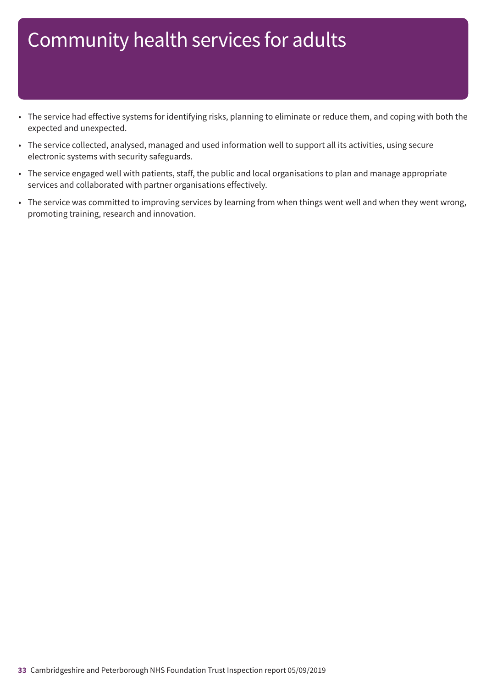- The service had effective systems for identifying risks, planning to eliminate or reduce them, and coping with both the expected and unexpected.
- The service collected, analysed, managed and used information well to support all its activities, using secure electronic systems with security safeguards.
- The service engaged well with patients, staff, the public and local organisations to plan and manage appropriate services and collaborated with partner organisations effectively.
- The service was committed to improving services by learning from when things went well and when they went wrong, promoting training, research and innovation.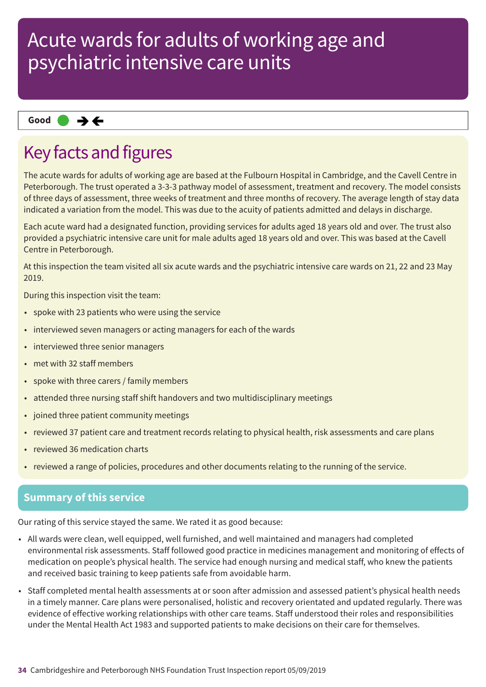### **Same–––rating Good –––**

### Key facts and figures

The acute wards for adults of working age are based at the Fulbourn Hospital in Cambridge, and the Cavell Centre in Peterborough. The trust operated a 3-3-3 pathway model of assessment, treatment and recovery. The model consists of three days of assessment, three weeks of treatment and three months of recovery. The average length of stay data indicated a variation from the model. This was due to the acuity of patients admitted and delays in discharge.

Each acute ward had a designated function, providing services for adults aged 18 years old and over. The trust also provided a psychiatric intensive care unit for male adults aged 18 years old and over. This was based at the Cavell Centre in Peterborough.

At this inspection the team visited all six acute wards and the psychiatric intensive care wards on 21, 22 and 23 May 2019.

During this inspection visit the team:

- spoke with 23 patients who were using the service
- interviewed seven managers or acting managers for each of the wards
- interviewed three senior managers
- met with 32 staff members
- spoke with three carers / family members
- attended three nursing staff shift handovers and two multidisciplinary meetings
- joined three patient community meetings
- reviewed 37 patient care and treatment records relating to physical health, risk assessments and care plans
- reviewed 36 medication charts
- reviewed a range of policies, procedures and other documents relating to the running of the service.

### **Summary of this service**

Our rating of this service stayed the same. We rated it as good because:

- All wards were clean, well equipped, well furnished, and well maintained and managers had completed environmental risk assessments. Staff followed good practice in medicines management and monitoring of effects of medication on people's physical health. The service had enough nursing and medical staff, who knew the patients and received basic training to keep patients safe from avoidable harm.
- Staff completed mental health assessments at or soon after admission and assessed patient's physical health needs in a timely manner. Care plans were personalised, holistic and recovery orientated and updated regularly. There was evidence of effective working relationships with other care teams. Staff understood their roles and responsibilities under the Mental Health Act 1983 and supported patients to make decisions on their care for themselves.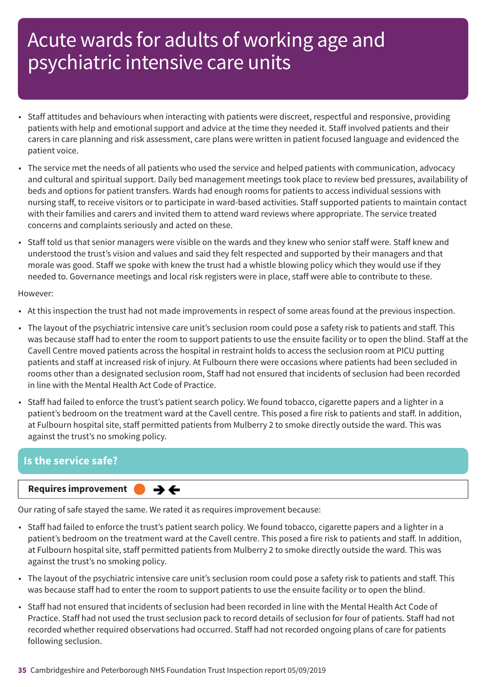- Staff attitudes and behaviours when interacting with patients were discreet, respectful and responsive, providing patients with help and emotional support and advice at the time they needed it. Staff involved patients and their carers in care planning and risk assessment, care plans were written in patient focused language and evidenced the patient voice.
- The service met the needs of all patients who used the service and helped patients with communication, advocacy and cultural and spiritual support. Daily bed management meetings took place to review bed pressures, availability of beds and options for patient transfers. Wards had enough rooms for patients to access individual sessions with nursing staff, to receive visitors or to participate in ward-based activities. Staff supported patients to maintain contact with their families and carers and invited them to attend ward reviews where appropriate. The service treated concerns and complaints seriously and acted on these.
- Staff told us that senior managers were visible on the wards and they knew who senior staff were. Staff knew and understood the trust's vision and values and said they felt respected and supported by their managers and that morale was good. Staff we spoke with knew the trust had a whistle blowing policy which they would use if they needed to. Governance meetings and local risk registers were in place, staff were able to contribute to these.

#### However:

- At this inspection the trust had not made improvements in respect of some areas found at the previous inspection.
- The layout of the psychiatric intensive care unit's seclusion room could pose a safety risk to patients and staff. This was because staff had to enter the room to support patients to use the ensuite facility or to open the blind. Staff at the Cavell Centre moved patients across the hospital in restraint holds to access the seclusion room at PICU putting patients and staff at increased risk of injury. At Fulbourn there were occasions where patients had been secluded in rooms other than a designated seclusion room, Staff had not ensured that incidents of seclusion had been recorded in line with the Mental Health Act Code of Practice.
- Staff had failed to enforce the trust's patient search policy. We found tobacco, cigarette papers and a lighter in a patient's bedroom on the treatment ward at the Cavell centre. This posed a fire risk to patients and staff. In addition, at Fulbourn hospital site, staff permitted patients from Mulberry 2 to smoke directly outside the ward. This was against the trust's no smoking policy.

### **Is the service safe?**

**Requires improvement**  $\rightarrow$   $\leftarrow$ 

Our rating of safe stayed the same. We rated it as requires improvement because:

- Staff had failed to enforce the trust's patient search policy. We found tobacco, cigarette papers and a lighter in a patient's bedroom on the treatment ward at the Cavell centre. This posed a fire risk to patients and staff. In addition, at Fulbourn hospital site, staff permitted patients from Mulberry 2 to smoke directly outside the ward. This was against the trust's no smoking policy.
- The layout of the psychiatric intensive care unit's seclusion room could pose a safety risk to patients and staff. This was because staff had to enter the room to support patients to use the ensuite facility or to open the blind.
- Staff had not ensured that incidents of seclusion had been recorded in line with the Mental Health Act Code of Practice. Staff had not used the trust seclusion pack to record details of seclusion for four of patients. Staff had not recorded whether required observations had occurred. Staff had not recorded ongoing plans of care for patients following seclusion.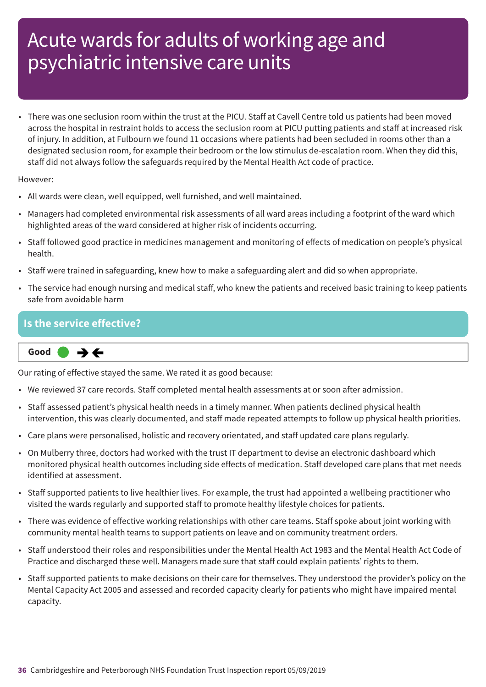• There was one seclusion room within the trust at the PICU. Staff at Cavell Centre told us patients had been moved across the hospital in restraint holds to access the seclusion room at PICU putting patients and staff at increased risk of injury. In addition, at Fulbourn we found 11 occasions where patients had been secluded in rooms other than a designated seclusion room, for example their bedroom or the low stimulus de-escalation room. When they did this, staff did not always follow the safeguards required by the Mental Health Act code of practice.

#### However:

- All wards were clean, well equipped, well furnished, and well maintained.
- Managers had completed environmental risk assessments of all ward areas including a footprint of the ward which highlighted areas of the ward considered at higher risk of incidents occurring.
- Staff followed good practice in medicines management and monitoring of effects of medication on people's physical health.
- Staff were trained in safeguarding, knew how to make a safeguarding alert and did so when appropriate.
- The service had enough nursing and medical staff, who knew the patients and received basic training to keep patients safe from avoidable harm

### **Is the service effective?**

**Same–––rating Good –––**  $\rightarrow$   $\leftarrow$ 

Our rating of effective stayed the same. We rated it as good because:

- We reviewed 37 care records. Staff completed mental health assessments at or soon after admission.
- Staff assessed patient's physical health needs in a timely manner. When patients declined physical health intervention, this was clearly documented, and staff made repeated attempts to follow up physical health priorities.
- Care plans were personalised, holistic and recovery orientated, and staff updated care plans regularly.
- On Mulberry three, doctors had worked with the trust IT department to devise an electronic dashboard which monitored physical health outcomes including side effects of medication. Staff developed care plans that met needs identified at assessment.
- Staff supported patients to live healthier lives. For example, the trust had appointed a wellbeing practitioner who visited the wards regularly and supported staff to promote healthy lifestyle choices for patients.
- There was evidence of effective working relationships with other care teams. Staff spoke about joint working with community mental health teams to support patients on leave and on community treatment orders.
- Staff understood their roles and responsibilities under the Mental Health Act 1983 and the Mental Health Act Code of Practice and discharged these well. Managers made sure that staff could explain patients' rights to them.
- Staff supported patients to make decisions on their care for themselves. They understood the provider's policy on the Mental Capacity Act 2005 and assessed and recorded capacity clearly for patients who might have impaired mental capacity.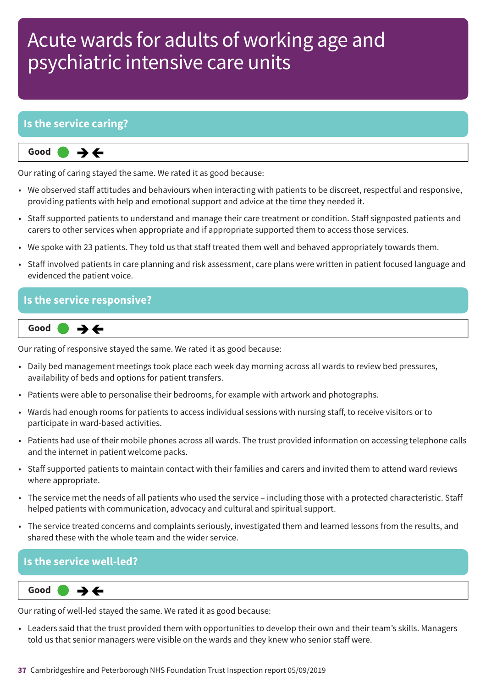### **Is the service caring?**

 $\rightarrow$   $\leftarrow$ **Same–––rating Good –––**

Our rating of caring stayed the same. We rated it as good because:

- We observed staff attitudes and behaviours when interacting with patients to be discreet, respectful and responsive, providing patients with help and emotional support and advice at the time they needed it.
- Staff supported patients to understand and manage their care treatment or condition. Staff signposted patients and carers to other services when appropriate and if appropriate supported them to access those services.
- We spoke with 23 patients. They told us that staff treated them well and behaved appropriately towards them.
- Staff involved patients in care planning and risk assessment, care plans were written in patient focused language and evidenced the patient voice.

### **Is the service responsive?**



Our rating of responsive stayed the same. We rated it as good because:

- Daily bed management meetings took place each week day morning across all wards to review bed pressures, availability of beds and options for patient transfers.
- Patients were able to personalise their bedrooms, for example with artwork and photographs.
- Wards had enough rooms for patients to access individual sessions with nursing staff, to receive visitors or to participate in ward-based activities.
- Patients had use of their mobile phones across all wards. The trust provided information on accessing telephone calls and the internet in patient welcome packs.
- Staff supported patients to maintain contact with their families and carers and invited them to attend ward reviews where appropriate.
- The service met the needs of all patients who used the service including those with a protected characteristic. Staff helped patients with communication, advocacy and cultural and spiritual support.
- The service treated concerns and complaints seriously, investigated them and learned lessons from the results, and shared these with the whole team and the wider service.

### **Is the service well-led?**

**Same–––rating Good –––**  $\rightarrow \leftarrow$ 

Our rating of well-led stayed the same. We rated it as good because:

• Leaders said that the trust provided them with opportunities to develop their own and their team's skills. Managers told us that senior managers were visible on the wards and they knew who senior staff were.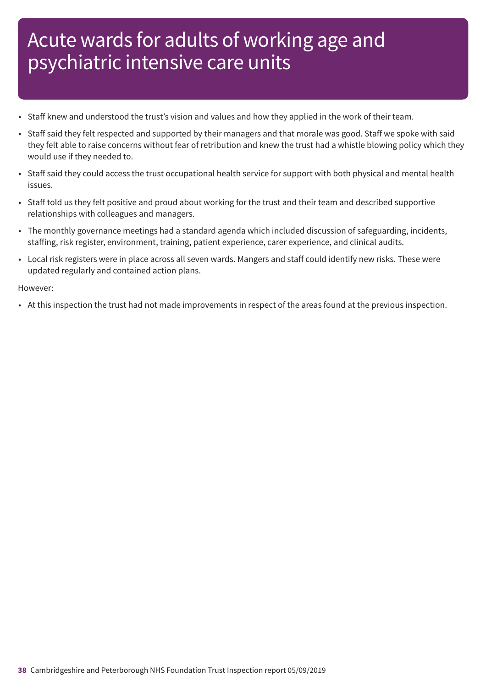- Staff knew and understood the trust's vision and values and how they applied in the work of their team.
- Staff said they felt respected and supported by their managers and that morale was good. Staff we spoke with said they felt able to raise concerns without fear of retribution and knew the trust had a whistle blowing policy which they would use if they needed to.
- Staff said they could access the trust occupational health service for support with both physical and mental health issues.
- Staff told us they felt positive and proud about working for the trust and their team and described supportive relationships with colleagues and managers.
- The monthly governance meetings had a standard agenda which included discussion of safeguarding, incidents, staffing, risk register, environment, training, patient experience, carer experience, and clinical audits.
- Local risk registers were in place across all seven wards. Mangers and staff could identify new risks. These were updated regularly and contained action plans.

However:

• At this inspection the trust had not made improvements in respect of the areas found at the previous inspection.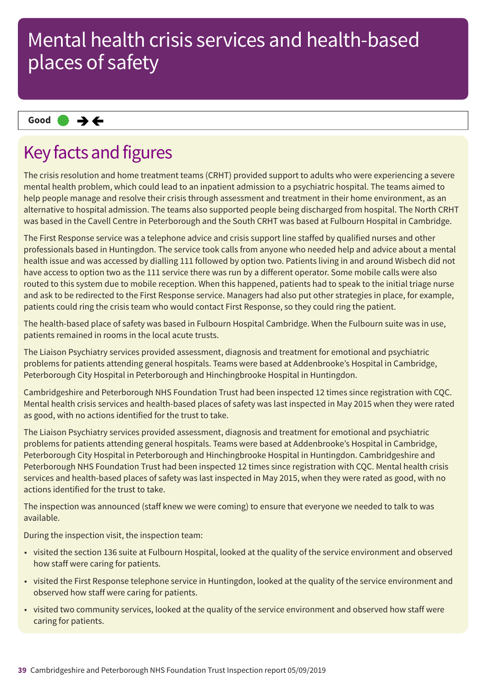### **Same–––rating Good –––**

### Key facts and figures

The crisis resolution and home treatment teams (CRHT) provided support to adults who were experiencing a severe mental health problem, which could lead to an inpatient admission to a psychiatric hospital. The teams aimed to help people manage and resolve their crisis through assessment and treatment in their home environment, as an alternative to hospital admission. The teams also supported people being discharged from hospital. The North CRHT was based in the Cavell Centre in Peterborough and the South CRHT was based at Fulbourn Hospital in Cambridge.

The First Response service was a telephone advice and crisis support line staffed by qualified nurses and other professionals based in Huntingdon. The service took calls from anyone who needed help and advice about a mental health issue and was accessed by dialling 111 followed by option two. Patients living in and around Wisbech did not have access to option two as the 111 service there was run by a different operator. Some mobile calls were also routed to this system due to mobile reception. When this happened, patients had to speak to the initial triage nurse and ask to be redirected to the First Response service. Managers had also put other strategies in place, for example, patients could ring the crisis team who would contact First Response, so they could ring the patient.

The health-based place of safety was based in Fulbourn Hospital Cambridge. When the Fulbourn suite was in use, patients remained in rooms in the local acute trusts.

The Liaison Psychiatry services provided assessment, diagnosis and treatment for emotional and psychiatric problems for patients attending general hospitals. Teams were based at Addenbrooke's Hospital in Cambridge, Peterborough City Hospital in Peterborough and Hinchingbrooke Hospital in Huntingdon.

Cambridgeshire and Peterborough NHS Foundation Trust had been inspected 12 times since registration with CQC. Mental health crisis services and health-based places of safety was last inspected in May 2015 when they were rated as good, with no actions identified for the trust to take.

The Liaison Psychiatry services provided assessment, diagnosis and treatment for emotional and psychiatric problems for patients attending general hospitals. Teams were based at Addenbrooke's Hospital in Cambridge, Peterborough City Hospital in Peterborough and Hinchingbrooke Hospital in Huntingdon. Cambridgeshire and Peterborough NHS Foundation Trust had been inspected 12 times since registration with CQC. Mental health crisis services and health-based places of safety was last inspected in May 2015, when they were rated as good, with no actions identified for the trust to take.

The inspection was announced (staff knew we were coming) to ensure that everyone we needed to talk to was available.

During the inspection visit, the inspection team:

- visited the section 136 suite at Fulbourn Hospital, looked at the quality of the service environment and observed how staff were caring for patients.
- visited the First Response telephone service in Huntingdon, looked at the quality of the service environment and observed how staff were caring for patients.
- visited two community services, looked at the quality of the service environment and observed how staff were caring for patients.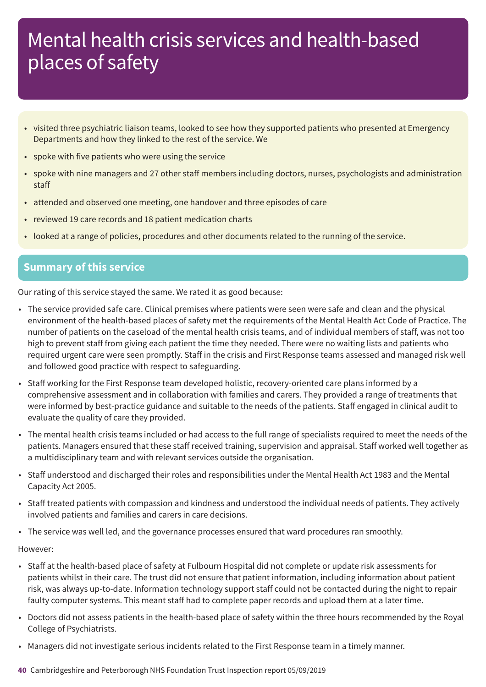- visited three psychiatric liaison teams, looked to see how they supported patients who presented at Emergency Departments and how they linked to the rest of the service. We
- spoke with five patients who were using the service
- spoke with nine managers and 27 other staff members including doctors, nurses, psychologists and administration staff
- attended and observed one meeting, one handover and three episodes of care
- reviewed 19 care records and 18 patient medication charts
- looked at a range of policies, procedures and other documents related to the running of the service.

### **Summary of this service**

Our rating of this service stayed the same. We rated it as good because:

- The service provided safe care. Clinical premises where patients were seen were safe and clean and the physical environment of the health-based places of safety met the requirements of the Mental Health Act Code of Practice. The number of patients on the caseload of the mental health crisis teams, and of individual members of staff, was not too high to prevent staff from giving each patient the time they needed. There were no waiting lists and patients who required urgent care were seen promptly. Staff in the crisis and First Response teams assessed and managed risk well and followed good practice with respect to safeguarding.
- Staff working for the First Response team developed holistic, recovery-oriented care plans informed by a comprehensive assessment and in collaboration with families and carers. They provided a range of treatments that were informed by best-practice guidance and suitable to the needs of the patients. Staff engaged in clinical audit to evaluate the quality of care they provided.
- The mental health crisis teams included or had access to the full range of specialists required to meet the needs of the patients. Managers ensured that these staff received training, supervision and appraisal. Staff worked well together as a multidisciplinary team and with relevant services outside the organisation.
- Staff understood and discharged their roles and responsibilities under the Mental Health Act 1983 and the Mental Capacity Act 2005.
- Staff treated patients with compassion and kindness and understood the individual needs of patients. They actively involved patients and families and carers in care decisions.
- The service was well led, and the governance processes ensured that ward procedures ran smoothly.

#### However:

- Staff at the health-based place of safety at Fulbourn Hospital did not complete or update risk assessments for patients whilst in their care. The trust did not ensure that patient information, including information about patient risk, was always up-to-date. Information technology support staff could not be contacted during the night to repair faulty computer systems. This meant staff had to complete paper records and upload them at a later time.
- Doctors did not assess patients in the health-based place of safety within the three hours recommended by the Royal College of Psychiatrists.
- Managers did not investigate serious incidents related to the First Response team in a timely manner.
- **40** Cambridgeshire and Peterborough NHS Foundation Trust Inspection report 05/09/2019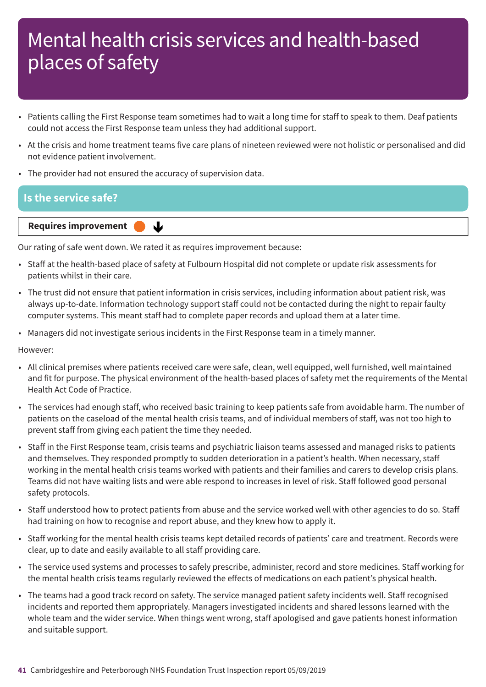- Patients calling the First Response team sometimes had to wait a long time for staff to speak to them. Deaf patients could not access the First Response team unless they had additional support.
- At the crisis and home treatment teams five care plans of nineteen reviewed were not holistic or personalised and did not evidence patient involvement.
- The provider had not ensured the accuracy of supervision data.

### **Is the service safe?**

**Requires improvement** 

Our rating of safe went down. We rated it as requires improvement because:

↓

- Staff at the health-based place of safety at Fulbourn Hospital did not complete or update risk assessments for patients whilst in their care.
- The trust did not ensure that patient information in crisis services, including information about patient risk, was always up-to-date. Information technology support staff could not be contacted during the night to repair faulty computer systems. This meant staff had to complete paper records and upload them at a later time.
- Managers did not investigate serious incidents in the First Response team in a timely manner.

However:

- All clinical premises where patients received care were safe, clean, well equipped, well furnished, well maintained and fit for purpose. The physical environment of the health-based places of safety met the requirements of the Mental Health Act Code of Practice.
- The services had enough staff, who received basic training to keep patients safe from avoidable harm. The number of patients on the caseload of the mental health crisis teams, and of individual members of staff, was not too high to prevent staff from giving each patient the time they needed.
- Staff in the First Response team, crisis teams and psychiatric liaison teams assessed and managed risks to patients and themselves. They responded promptly to sudden deterioration in a patient's health. When necessary, staff working in the mental health crisis teams worked with patients and their families and carers to develop crisis plans. Teams did not have waiting lists and were able respond to increases in level of risk. Staff followed good personal safety protocols.
- Staff understood how to protect patients from abuse and the service worked well with other agencies to do so. Staff had training on how to recognise and report abuse, and they knew how to apply it.
- Staff working for the mental health crisis teams kept detailed records of patients' care and treatment. Records were clear, up to date and easily available to all staff providing care.
- The service used systems and processes to safely prescribe, administer, record and store medicines. Staff working for the mental health crisis teams regularly reviewed the effects of medications on each patient's physical health.
- The teams had a good track record on safety. The service managed patient safety incidents well. Staff recognised incidents and reported them appropriately. Managers investigated incidents and shared lessons learned with the whole team and the wider service. When things went wrong, staff apologised and gave patients honest information and suitable support.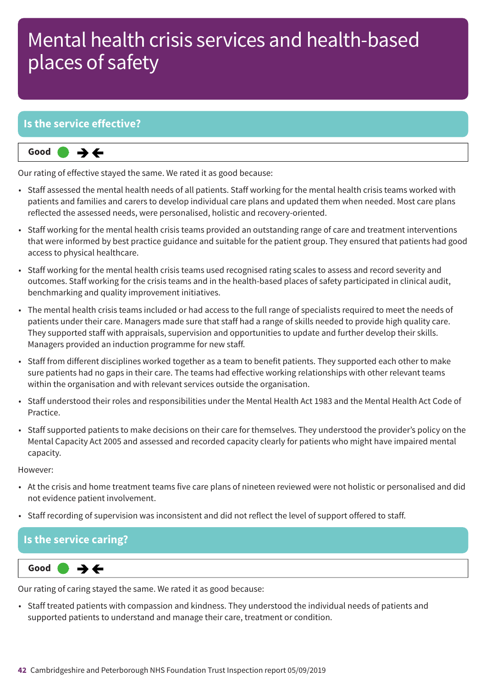### **Is the service effective?**



Our rating of effective stayed the same. We rated it as good because:

- Staff assessed the mental health needs of all patients. Staff working for the mental health crisis teams worked with patients and families and carers to develop individual care plans and updated them when needed. Most care plans reflected the assessed needs, were personalised, holistic and recovery-oriented.
- Staff working for the mental health crisis teams provided an outstanding range of care and treatment interventions that were informed by best practice guidance and suitable for the patient group. They ensured that patients had good access to physical healthcare.
- Staff working for the mental health crisis teams used recognised rating scales to assess and record severity and outcomes. Staff working for the crisis teams and in the health-based places of safety participated in clinical audit, benchmarking and quality improvement initiatives.
- The mental health crisis teams included or had access to the full range of specialists required to meet the needs of patients under their care. Managers made sure that staff had a range of skills needed to provide high quality care. They supported staff with appraisals, supervision and opportunities to update and further develop their skills. Managers provided an induction programme for new staff.
- Staff from different disciplines worked together as a team to benefit patients. They supported each other to make sure patients had no gaps in their care. The teams had effective working relationships with other relevant teams within the organisation and with relevant services outside the organisation.
- Staff understood their roles and responsibilities under the Mental Health Act 1983 and the Mental Health Act Code of Practice.
- Staff supported patients to make decisions on their care for themselves. They understood the provider's policy on the Mental Capacity Act 2005 and assessed and recorded capacity clearly for patients who might have impaired mental capacity.

However:

- At the crisis and home treatment teams five care plans of nineteen reviewed were not holistic or personalised and did not evidence patient involvement.
- Staff recording of supervision was inconsistent and did not reflect the level of support offered to staff.

### **Is the service caring?**



Our rating of caring stayed the same. We rated it as good because:

• Staff treated patients with compassion and kindness. They understood the individual needs of patients and supported patients to understand and manage their care, treatment or condition.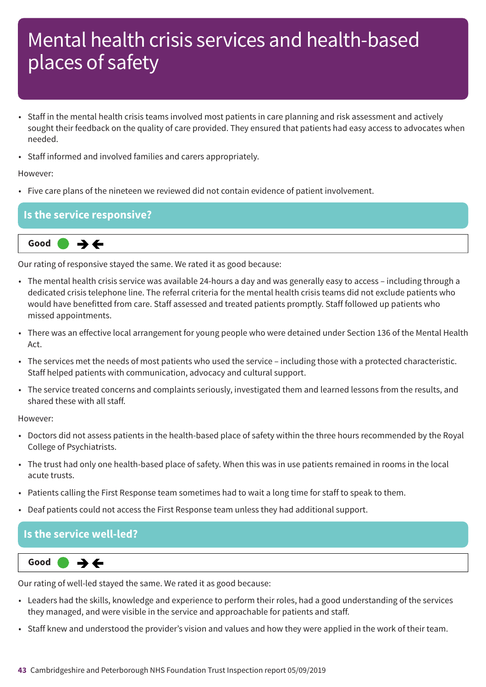- Staff in the mental health crisis teams involved most patients in care planning and risk assessment and actively sought their feedback on the quality of care provided. They ensured that patients had easy access to advocates when needed.
- Staff informed and involved families and carers appropriately.

#### However:

• Five care plans of the nineteen we reviewed did not contain evidence of patient involvement.

### **Is the service responsive?**



Our rating of responsive stayed the same. We rated it as good because:

- The mental health crisis service was available 24-hours a day and was generally easy to access including through a dedicated crisis telephone line. The referral criteria for the mental health crisis teams did not exclude patients who would have benefitted from care. Staff assessed and treated patients promptly. Staff followed up patients who missed appointments.
- There was an effective local arrangement for young people who were detained under Section 136 of the Mental Health Act.
- The services met the needs of most patients who used the service including those with a protected characteristic. Staff helped patients with communication, advocacy and cultural support.
- The service treated concerns and complaints seriously, investigated them and learned lessons from the results, and shared these with all staff.

#### However:

- Doctors did not assess patients in the health-based place of safety within the three hours recommended by the Royal College of Psychiatrists.
- The trust had only one health-based place of safety. When this was in use patients remained in rooms in the local acute trusts.
- Patients calling the First Response team sometimes had to wait a long time for staff to speak to them.
- Deaf patients could not access the First Response team unless they had additional support.

#### **Is the service well-led?**



Our rating of well-led stayed the same. We rated it as good because:

- Leaders had the skills, knowledge and experience to perform their roles, had a good understanding of the services they managed, and were visible in the service and approachable for patients and staff.
- Staff knew and understood the provider's vision and values and how they were applied in the work of their team.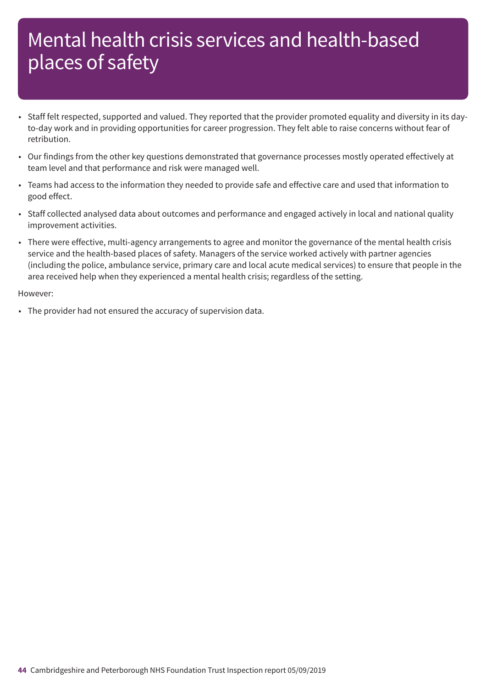- Staff felt respected, supported and valued. They reported that the provider promoted equality and diversity in its dayto-day work and in providing opportunities for career progression. They felt able to raise concerns without fear of retribution.
- Our findings from the other key questions demonstrated that governance processes mostly operated effectively at team level and that performance and risk were managed well.
- Teams had access to the information they needed to provide safe and effective care and used that information to good effect.
- Staff collected analysed data about outcomes and performance and engaged actively in local and national quality improvement activities.
- There were effective, multi-agency arrangements to agree and monitor the governance of the mental health crisis service and the health-based places of safety. Managers of the service worked actively with partner agencies (including the police, ambulance service, primary care and local acute medical services) to ensure that people in the area received help when they experienced a mental health crisis; regardless of the setting.

#### However:

• The provider had not ensured the accuracy of supervision data.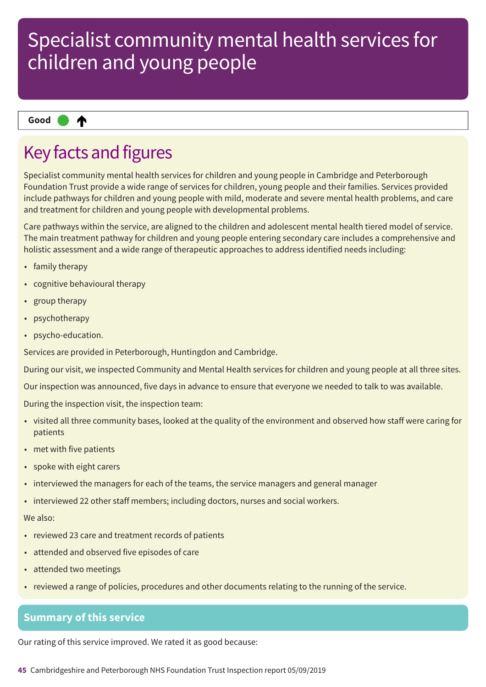#### ₳ **Up one rating Good –––**

### Key facts and figures

Specialist community mental health services for children and young people in Cambridge and Peterborough Foundation Trust provide a wide range of services for children, young people and their families. Services provided include pathways for children and young people with mild, moderate and severe mental health problems, and care and treatment for children and young people with developmental problems.

Care pathways within the service, are aligned to the children and adolescent mental health tiered model of service. The main treatment pathway for children and young people entering secondary care includes a comprehensive and holistic assessment and a wide range of therapeutic approaches to address identified needs including:

- family therapy
- cognitive behavioural therapy
- group therapy
- psychotherapy
- psycho-education.

Services are provided in Peterborough, Huntingdon and Cambridge.

During our visit, we inspected Community and Mental Health services for children and young people at all three sites.

Our inspection was announced, five days in advance to ensure that everyone we needed to talk to was available.

During the inspection visit, the inspection team:

- visited all three community bases, looked at the quality of the environment and observed how staff were caring for patients
- met with five patients
- spoke with eight carers
- interviewed the managers for each of the teams, the service managers and general manager
- interviewed 22 other staff members; including doctors, nurses and social workers.

#### We also:

- reviewed 23 care and treatment records of patients
- attended and observed five episodes of care
- attended two meetings
- reviewed a range of policies, procedures and other documents relating to the running of the service.

### **Summary of this service**

Our rating of this service improved. We rated it as good because:

**45** Cambridgeshire and Peterborough NHS Foundation Trust Inspection report 05/09/2019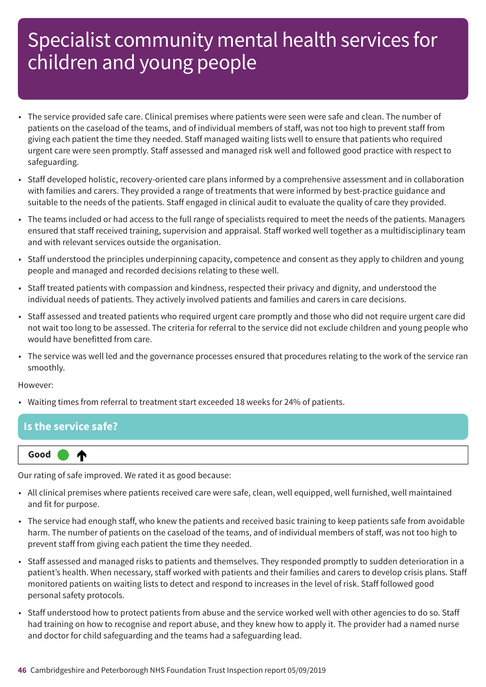- The service provided safe care. Clinical premises where patients were seen were safe and clean. The number of patients on the caseload of the teams, and of individual members of staff, was not too high to prevent staff from giving each patient the time they needed. Staff managed waiting lists well to ensure that patients who required urgent care were seen promptly. Staff assessed and managed risk well and followed good practice with respect to safeguarding.
- Staff developed holistic, recovery-oriented care plans informed by a comprehensive assessment and in collaboration with families and carers. They provided a range of treatments that were informed by best-practice guidance and suitable to the needs of the patients. Staff engaged in clinical audit to evaluate the quality of care they provided.
- The teams included or had access to the full range of specialists required to meet the needs of the patients. Managers ensured that staff received training, supervision and appraisal. Staff worked well together as a multidisciplinary team and with relevant services outside the organisation.
- Staff understood the principles underpinning capacity, competence and consent as they apply to children and young people and managed and recorded decisions relating to these well.
- Staff treated patients with compassion and kindness, respected their privacy and dignity, and understood the individual needs of patients. They actively involved patients and families and carers in care decisions.
- Staff assessed and treated patients who required urgent care promptly and those who did not require urgent care did not wait too long to be assessed. The criteria for referral to the service did not exclude children and young people who would have benefitted from care.
- The service was well led and the governance processes ensured that procedures relating to the work of the service ran smoothly.

However:

**Up one rating Good –––**

• Waiting times from referral to treatment start exceeded 18 weeks for 24% of patients.

| Is the service safe? |
|----------------------|
|                      |

Our rating of safe improved. We rated it as good because:

- All clinical premises where patients received care were safe, clean, well equipped, well furnished, well maintained and fit for purpose.
- The service had enough staff, who knew the patients and received basic training to keep patients safe from avoidable harm. The number of patients on the caseload of the teams, and of individual members of staff, was not too high to prevent staff from giving each patient the time they needed.
- Staff assessed and managed risks to patients and themselves. They responded promptly to sudden deterioration in a patient's health. When necessary, staff worked with patients and their families and carers to develop crisis plans. Staff monitored patients on waiting lists to detect and respond to increases in the level of risk. Staff followed good personal safety protocols.
- Staff understood how to protect patients from abuse and the service worked well with other agencies to do so. Staff had training on how to recognise and report abuse, and they knew how to apply it. The provider had a named nurse and doctor for child safeguarding and the teams had a safeguarding lead.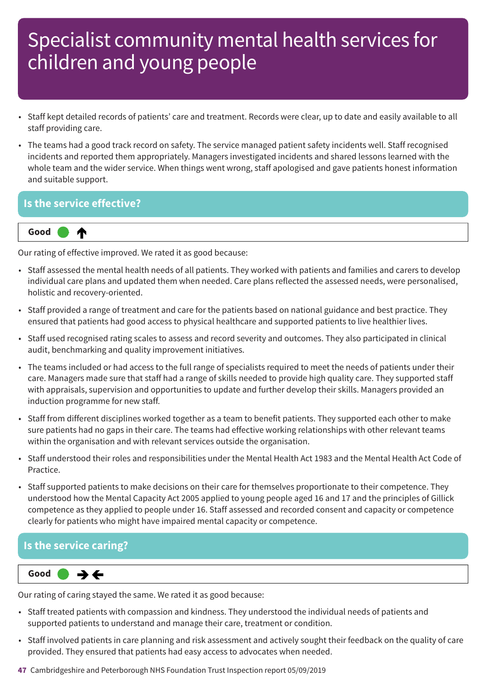- Staff kept detailed records of patients' care and treatment. Records were clear, up to date and easily available to all staff providing care.
- The teams had a good track record on safety. The service managed patient safety incidents well. Staff recognised incidents and reported them appropriately. Managers investigated incidents and shared lessons learned with the whole team and the wider service. When things went wrong, staff apologised and gave patients honest information and suitable support.

### **Is the service effective?**



Our rating of effective improved. We rated it as good because:

- Staff assessed the mental health needs of all patients. They worked with patients and families and carers to develop individual care plans and updated them when needed. Care plans reflected the assessed needs, were personalised, holistic and recovery-oriented.
- Staff provided a range of treatment and care for the patients based on national guidance and best practice. They ensured that patients had good access to physical healthcare and supported patients to live healthier lives.
- Staff used recognised rating scales to assess and record severity and outcomes. They also participated in clinical audit, benchmarking and quality improvement initiatives.
- The teams included or had access to the full range of specialists required to meet the needs of patients under their care. Managers made sure that staff had a range of skills needed to provide high quality care. They supported staff with appraisals, supervision and opportunities to update and further develop their skills. Managers provided an induction programme for new staff.
- Staff from different disciplines worked together as a team to benefit patients. They supported each other to make sure patients had no gaps in their care. The teams had effective working relationships with other relevant teams within the organisation and with relevant services outside the organisation.
- Staff understood their roles and responsibilities under the Mental Health Act 1983 and the Mental Health Act Code of Practice.
- Staff supported patients to make decisions on their care for themselves proportionate to their competence. They understood how the Mental Capacity Act 2005 applied to young people aged 16 and 17 and the principles of Gillick competence as they applied to people under 16. Staff assessed and recorded consent and capacity or competence clearly for patients who might have impaired mental capacity or competence.

### **Is the service caring?**

**Same–––rating Good –––**  $\rightarrow$   $\leftarrow$ 

Our rating of caring stayed the same. We rated it as good because:

- Staff treated patients with compassion and kindness. They understood the individual needs of patients and supported patients to understand and manage their care, treatment or condition.
- Staff involved patients in care planning and risk assessment and actively sought their feedback on the quality of care provided. They ensured that patients had easy access to advocates when needed.
- **47** Cambridgeshire and Peterborough NHS Foundation Trust Inspection report 05/09/2019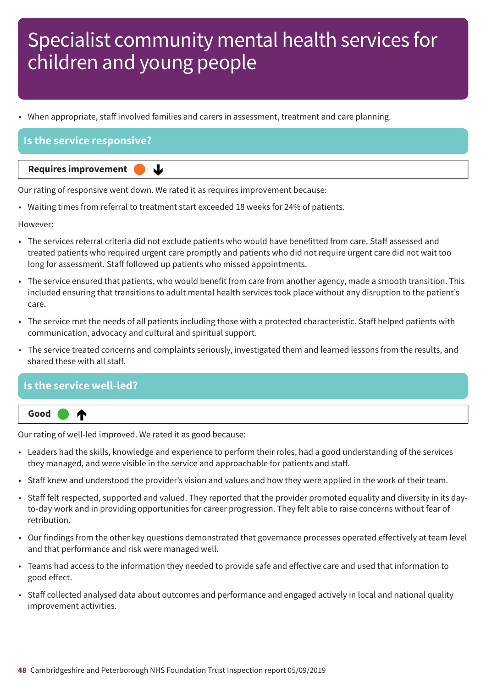• When appropriate, staff involved families and carers in assessment, treatment and care planning.

### **Is the service responsive?**

**Requires improvement** 

Our rating of responsive went down. We rated it as requires improvement because:

ψ

• Waiting times from referral to treatment start exceeded 18 weeks for 24% of patients.

However:

- The services referral criteria did not exclude patients who would have benefitted from care. Staff assessed and treated patients who required urgent care promptly and patients who did not require urgent care did not wait too long for assessment. Staff followed up patients who missed appointments.
- The service ensured that patients, who would benefit from care from another agency, made a smooth transition. This included ensuring that transitions to adult mental health services took place without any disruption to the patient's care.
- The service met the needs of all patients including those with a protected characteristic. Staff helped patients with communication, advocacy and cultural and spiritual support.
- The service treated concerns and complaints seriously, investigated them and learned lessons from the results, and shared these with all staff.

### **Is the service well-led? Up one rating Good –––** ₼

Our rating of well-led improved. We rated it as good because:

- Leaders had the skills, knowledge and experience to perform their roles, had a good understanding of the services they managed, and were visible in the service and approachable for patients and staff.
- Staff knew and understood the provider's vision and values and how they were applied in the work of their team.
- Staff felt respected, supported and valued. They reported that the provider promoted equality and diversity in its dayto-day work and in providing opportunities for career progression. They felt able to raise concerns without fear of retribution.
- Our findings from the other key questions demonstrated that governance processes operated effectively at team level and that performance and risk were managed well.
- Teams had access to the information they needed to provide safe and effective care and used that information to good effect.
- Staff collected analysed data about outcomes and performance and engaged actively in local and national quality improvement activities.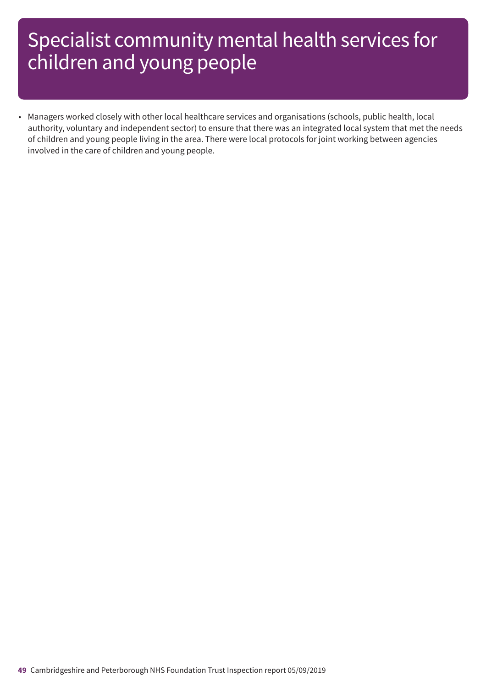• Managers worked closely with other local healthcare services and organisations (schools, public health, local authority, voluntary and independent sector) to ensure that there was an integrated local system that met the needs of children and young people living in the area. There were local protocols for joint working between agencies involved in the care of children and young people.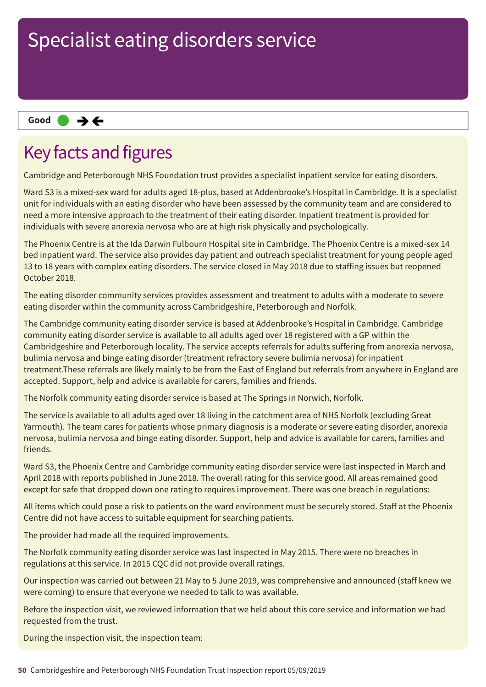### **Same–––rating Good –––**

### Key facts and figures

Cambridge and Peterborough NHS Foundation trust provides a specialist inpatient service for eating disorders.

Ward S3 is a mixed-sex ward for adults aged 18-plus, based at Addenbrooke's Hospital in Cambridge. It is a specialist unit for individuals with an eating disorder who have been assessed by the community team and are considered to need a more intensive approach to the treatment of their eating disorder. Inpatient treatment is provided for individuals with severe anorexia nervosa who are at high risk physically and psychologically.

The Phoenix Centre is at the Ida Darwin Fulbourn Hospital site in Cambridge. The Phoenix Centre is a mixed-sex 14 bed inpatient ward. The service also provides day patient and outreach specialist treatment for young people aged 13 to 18 years with complex eating disorders. The service closed in May 2018 due to staffing issues but reopened October 2018.

The eating disorder community services provides assessment and treatment to adults with a moderate to severe eating disorder within the community across Cambridgeshire, Peterborough and Norfolk.

The Cambridge community eating disorder service is based at Addenbrooke's Hospital in Cambridge. Cambridge community eating disorder service is available to all adults aged over 18 registered with a GP within the Cambridgeshire and Peterborough locality. The service accepts referrals for adults suffering from anorexia nervosa, bulimia nervosa and binge eating disorder (treatment refractory severe bulimia nervosa) for inpatient treatment.These referrals are likely mainly to be from the East of England but referrals from anywhere in England are accepted. Support, help and advice is available for carers, families and friends.

The Norfolk community eating disorder service is based at The Springs in Norwich, Norfolk.

The service is available to all adults aged over 18 living in the catchment area of NHS Norfolk (excluding Great Yarmouth). The team cares for patients whose primary diagnosis is a moderate or severe eating disorder, anorexia nervosa, bulimia nervosa and binge eating disorder. Support, help and advice is available for carers, families and friends.

Ward S3, the Phoenix Centre and Cambridge community eating disorder service were last inspected in March and April 2018 with reports published in June 2018. The overall rating for this service good. All areas remained good except for safe that dropped down one rating to requires improvement. There was one breach in regulations:

All items which could pose a risk to patients on the ward environment must be securely stored. Staff at the Phoenix Centre did not have access to suitable equipment for searching patients.

The provider had made all the required improvements.

The Norfolk community eating disorder service was last inspected in May 2015. There were no breaches in regulations at this service. In 2015 CQC did not provide overall ratings.

Our inspection was carried out between 21 May to 5 June 2019, was comprehensive and announced (staff knew we were coming) to ensure that everyone we needed to talk to was available.

Before the inspection visit, we reviewed information that we held about this core service and information we had requested from the trust.

During the inspection visit, the inspection team: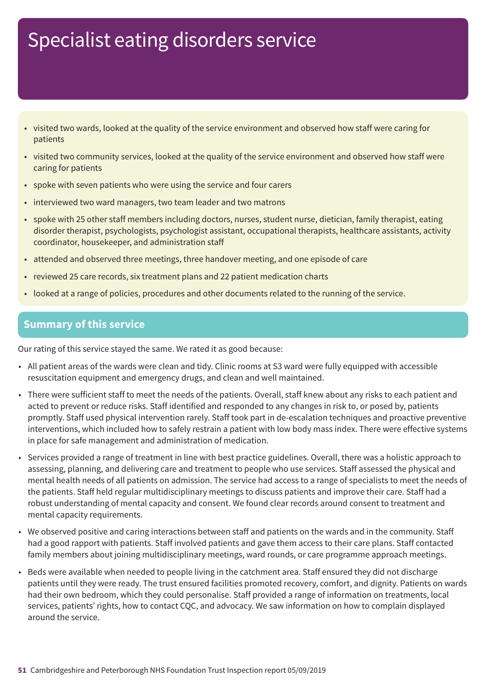- visited two wards, looked at the quality of the service environment and observed how staff were caring for patients
- visited two community services, looked at the quality of the service environment and observed how staff were caring for patients
- spoke with seven patients who were using the service and four carers
- interviewed two ward managers, two team leader and two matrons
- spoke with 25 other staff members including doctors, nurses, student nurse, dietician, family therapist, eating disorder therapist, psychologists, psychologist assistant, occupational therapists, healthcare assistants, activity coordinator, housekeeper, and administration staff
- attended and observed three meetings, three handover meeting, and one episode of care
- reviewed 25 care records, six treatment plans and 22 patient medication charts
- looked at a range of policies, procedures and other documents related to the running of the service.

### **Summary of this service**

Our rating of this service stayed the same. We rated it as good because:

- All patient areas of the wards were clean and tidy. Clinic rooms at S3 ward were fully equipped with accessible resuscitation equipment and emergency drugs, and clean and well maintained.
- There were sufficient staff to meet the needs of the patients. Overall, staff knew about any risks to each patient and acted to prevent or reduce risks. Staff identified and responded to any changes in risk to, or posed by, patients promptly. Staff used physical intervention rarely. Staff took part in de-escalation techniques and proactive preventive interventions, which included how to safely restrain a patient with low body mass index. There were effective systems in place for safe management and administration of medication.
- Services provided a range of treatment in line with best practice guidelines. Overall, there was a holistic approach to assessing, planning, and delivering care and treatment to people who use services. Staff assessed the physical and mental health needs of all patients on admission. The service had access to a range of specialists to meet the needs of the patients. Staff held regular multidisciplinary meetings to discuss patients and improve their care. Staff had a robust understanding of mental capacity and consent. We found clear records around consent to treatment and mental capacity requirements.
- We observed positive and caring interactions between staff and patients on the wards and in the community. Staff had a good rapport with patients. Staff involved patients and gave them access to their care plans. Staff contacted family members about joining multidisciplinary meetings, ward rounds, or care programme approach meetings.
- Beds were available when needed to people living in the catchment area. Staff ensured they did not discharge patients until they were ready. The trust ensured facilities promoted recovery, comfort, and dignity. Patients on wards had their own bedroom, which they could personalise. Staff provided a range of information on treatments, local services, patients' rights, how to contact CQC, and advocacy. We saw information on how to complain displayed around the service.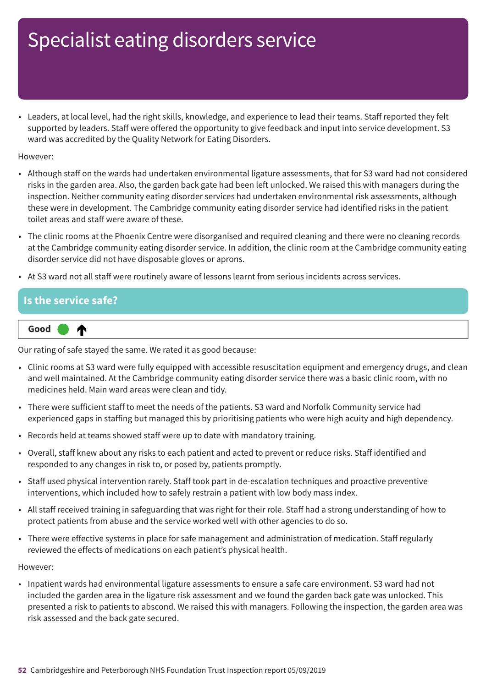• Leaders, at local level, had the right skills, knowledge, and experience to lead their teams. Staff reported they felt supported by leaders. Staff were offered the opportunity to give feedback and input into service development. S3 ward was accredited by the Quality Network for Eating Disorders.

However:

- Although staff on the wards had undertaken environmental ligature assessments, that for S3 ward had not considered risks in the garden area. Also, the garden back gate had been left unlocked. We raised this with managers during the inspection. Neither community eating disorder services had undertaken environmental risk assessments, although these were in development. The Cambridge community eating disorder service had identified risks in the patient toilet areas and staff were aware of these.
- The clinic rooms at the Phoenix Centre were disorganised and required cleaning and there were no cleaning records at the Cambridge community eating disorder service. In addition, the clinic room at the Cambridge community eating disorder service did not have disposable gloves or aprons.
- At S3 ward not all staff were routinely aware of lessons learnt from serious incidents across services.

### **Is the service safe? Up one rating Good –––** ∧

Our rating of safe stayed the same. We rated it as good because:

- Clinic rooms at S3 ward were fully equipped with accessible resuscitation equipment and emergency drugs, and clean and well maintained. At the Cambridge community eating disorder service there was a basic clinic room, with no medicines held. Main ward areas were clean and tidy.
- There were sufficient staff to meet the needs of the patients. S3 ward and Norfolk Community service had experienced gaps in staffing but managed this by prioritising patients who were high acuity and high dependency.
- Records held at teams showed staff were up to date with mandatory training.
- Overall, staff knew about any risks to each patient and acted to prevent or reduce risks. Staff identified and responded to any changes in risk to, or posed by, patients promptly.
- Staff used physical intervention rarely. Staff took part in de-escalation techniques and proactive preventive interventions, which included how to safely restrain a patient with low body mass index.
- All staff received training in safeguarding that was right for their role. Staff had a strong understanding of how to protect patients from abuse and the service worked well with other agencies to do so.
- There were effective systems in place for safe management and administration of medication. Staff regularly reviewed the effects of medications on each patient's physical health.

However:

• Inpatient wards had environmental ligature assessments to ensure a safe care environment. S3 ward had not included the garden area in the ligature risk assessment and we found the garden back gate was unlocked. This presented a risk to patients to abscond. We raised this with managers. Following the inspection, the garden area was risk assessed and the back gate secured.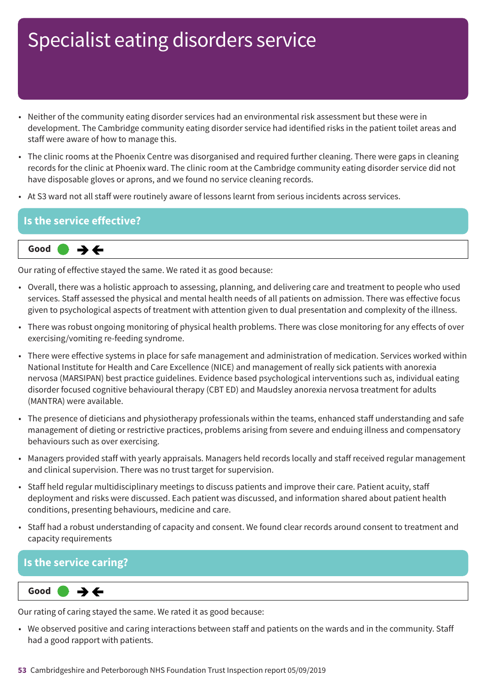- Neither of the community eating disorder services had an environmental risk assessment but these were in development. The Cambridge community eating disorder service had identified risks in the patient toilet areas and staff were aware of how to manage this.
- The clinic rooms at the Phoenix Centre was disorganised and required further cleaning. There were gaps in cleaning records for the clinic at Phoenix ward. The clinic room at the Cambridge community eating disorder service did not have disposable gloves or aprons, and we found no service cleaning records.
- At S3 ward not all staff were routinely aware of lessons learnt from serious incidents across services.

### **Is the service effective?**



Our rating of effective stayed the same. We rated it as good because:

- Overall, there was a holistic approach to assessing, planning, and delivering care and treatment to people who used services. Staff assessed the physical and mental health needs of all patients on admission. There was effective focus given to psychological aspects of treatment with attention given to dual presentation and complexity of the illness.
- There was robust ongoing monitoring of physical health problems. There was close monitoring for any effects of over exercising/vomiting re-feeding syndrome.
- There were effective systems in place for safe management and administration of medication. Services worked within National Institute for Health and Care Excellence (NICE) and management of really sick patients with anorexia nervosa (MARSIPAN) best practice guidelines. Evidence based psychological interventions such as, individual eating disorder focused cognitive behavioural therapy (CBT ED) and Maudsley anorexia nervosa treatment for adults (MANTRA) were available.
- The presence of dieticians and physiotherapy professionals within the teams, enhanced staff understanding and safe management of dieting or restrictive practices, problems arising from severe and enduing illness and compensatory behaviours such as over exercising.
- Managers provided staff with yearly appraisals. Managers held records locally and staff received regular management and clinical supervision. There was no trust target for supervision.
- Staff held regular multidisciplinary meetings to discuss patients and improve their care. Patient acuity, staff deployment and risks were discussed. Each patient was discussed, and information shared about patient health conditions, presenting behaviours, medicine and care.
- Staff had a robust understanding of capacity and consent. We found clear records around consent to treatment and capacity requirements

### **Is the service caring?**

 $\rightarrow$   $\leftarrow$ **Same–––rating Good –––**

Our rating of caring stayed the same. We rated it as good because:

• We observed positive and caring interactions between staff and patients on the wards and in the community. Staff had a good rapport with patients.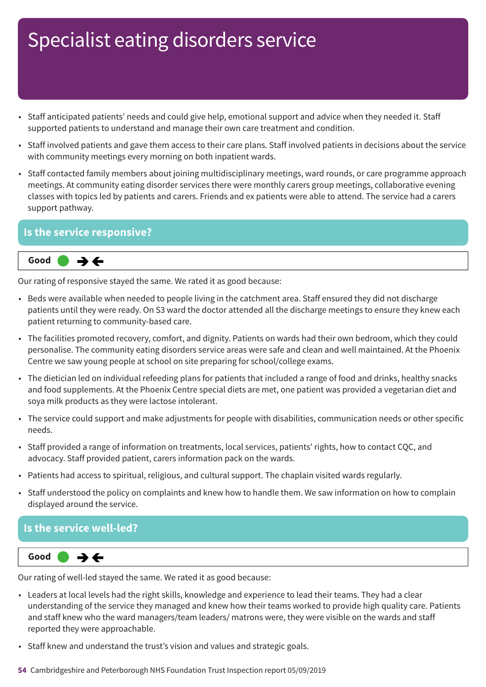- Staff anticipated patients' needs and could give help, emotional support and advice when they needed it. Staff supported patients to understand and manage their own care treatment and condition.
- Staff involved patients and gave them access to their care plans. Staff involved patients in decisions about the service with community meetings every morning on both inpatient wards.
- Staff contacted family members about joining multidisciplinary meetings, ward rounds, or care programme approach meetings. At community eating disorder services there were monthly carers group meetings, collaborative evening classes with topics led by patients and carers. Friends and ex patients were able to attend. The service had a carers support pathway.

### **Is the service responsive?**



Our rating of responsive stayed the same. We rated it as good because:

- Beds were available when needed to people living in the catchment area. Staff ensured they did not discharge patients until they were ready. On S3 ward the doctor attended all the discharge meetings to ensure they knew each patient returning to community-based care.
- The facilities promoted recovery, comfort, and dignity. Patients on wards had their own bedroom, which they could personalise. The community eating disorders service areas were safe and clean and well maintained. At the Phoenix Centre we saw young people at school on site preparing for school/college exams.
- The dietician led on individual refeeding plans for patients that included a range of food and drinks, healthy snacks and food supplements. At the Phoenix Centre special diets are met, one patient was provided a vegetarian diet and soya milk products as they were lactose intolerant.
- The service could support and make adjustments for people with disabilities, communication needs or other specific needs.
- Staff provided a range of information on treatments, local services, patients' rights, how to contact CQC, and advocacy. Staff provided patient, carers information pack on the wards.
- Patients had access to spiritual, religious, and cultural support. The chaplain visited wards regularly.
- Staff understood the policy on complaints and knew how to handle them. We saw information on how to complain displayed around the service.

### **Is the service well-led?**



Our rating of well-led stayed the same. We rated it as good because:

- Leaders at local levels had the right skills, knowledge and experience to lead their teams. They had a clear understanding of the service they managed and knew how their teams worked to provide high quality care. Patients and staff knew who the ward managers/team leaders/ matrons were, they were visible on the wards and staff reported they were approachable.
- Staff knew and understand the trust's vision and values and strategic goals.
- **54** Cambridgeshire and Peterborough NHS Foundation Trust Inspection report 05/09/2019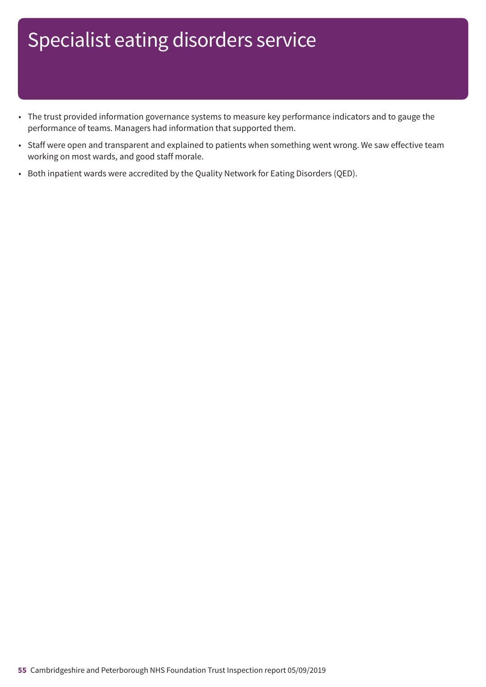- The trust provided information governance systems to measure key performance indicators and to gauge the performance of teams. Managers had information that supported them.
- Staff were open and transparent and explained to patients when something went wrong. We saw effective team working on most wards, and good staff morale.
- Both inpatient wards were accredited by the Quality Network for Eating Disorders (QED).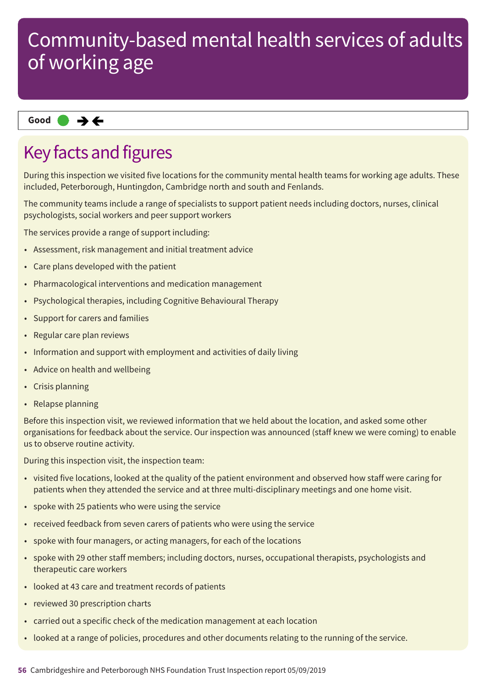### **Same–––rating Good –––**

### Key facts and figures

During this inspection we visited five locations for the community mental health teams for working age adults. These included, Peterborough, Huntingdon, Cambridge north and south and Fenlands.

The community teams include a range of specialists to support patient needs including doctors, nurses, clinical psychologists, social workers and peer support workers

The services provide a range of support including:

- Assessment, risk management and initial treatment advice
- Care plans developed with the patient
- Pharmacological interventions and medication management
- Psychological therapies, including Cognitive Behavioural Therapy
- Support for carers and families
- Regular care plan reviews
- Information and support with employment and activities of daily living
- Advice on health and wellbeing
- Crisis planning
- Relapse planning

Before this inspection visit, we reviewed information that we held about the location, and asked some other organisations for feedback about the service. Our inspection was announced (staff knew we were coming) to enable us to observe routine activity.

During this inspection visit, the inspection team:

- visited five locations, looked at the quality of the patient environment and observed how staff were caring for patients when they attended the service and at three multi-disciplinary meetings and one home visit.
- spoke with 25 patients who were using the service
- received feedback from seven carers of patients who were using the service
- spoke with four managers, or acting managers, for each of the locations
- spoke with 29 other staff members; including doctors, nurses, occupational therapists, psychologists and therapeutic care workers
- looked at 43 care and treatment records of patients
- reviewed 30 prescription charts
- carried out a specific check of the medication management at each location
- looked at a range of policies, procedures and other documents relating to the running of the service.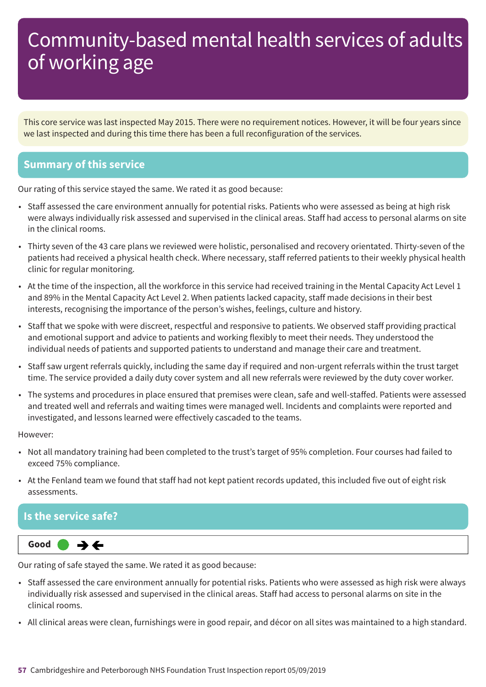This core service was last inspected May 2015. There were no requirement notices. However, it will be four years since we last inspected and during this time there has been a full reconfiguration of the services.

### **Summary of this service**

Our rating of this service stayed the same. We rated it as good because:

- Staff assessed the care environment annually for potential risks. Patients who were assessed as being at high risk were always individually risk assessed and supervised in the clinical areas. Staff had access to personal alarms on site in the clinical rooms.
- Thirty seven of the 43 care plans we reviewed were holistic, personalised and recovery orientated. Thirty-seven of the patients had received a physical health check. Where necessary, staff referred patients to their weekly physical health clinic for regular monitoring.
- At the time of the inspection, all the workforce in this service had received training in the Mental Capacity Act Level 1 and 89% in the Mental Capacity Act Level 2. When patients lacked capacity, staff made decisions in their best interests, recognising the importance of the person's wishes, feelings, culture and history.
- Staff that we spoke with were discreet, respectful and responsive to patients. We observed staff providing practical and emotional support and advice to patients and working flexibly to meet their needs. They understood the individual needs of patients and supported patients to understand and manage their care and treatment.
- Staff saw urgent referrals quickly, including the same day if required and non-urgent referrals within the trust target time. The service provided a daily duty cover system and all new referrals were reviewed by the duty cover worker.
- The systems and procedures in place ensured that premises were clean, safe and well-staffed. Patients were assessed and treated well and referrals and waiting times were managed well. Incidents and complaints were reported and investigated, and lessons learned were effectively cascaded to the teams.

#### However:

- Not all mandatory training had been completed to the trust's target of 95% completion. Four courses had failed to exceed 75% compliance.
- At the Fenland team we found that staff had not kept patient records updated, this included five out of eight risk assessments.

### **Is the service safe?**

**Same–––rating Good –––**

Our rating of safe stayed the same. We rated it as good because:

- Staff assessed the care environment annually for potential risks. Patients who were assessed as high risk were always individually risk assessed and supervised in the clinical areas. Staff had access to personal alarms on site in the clinical rooms.
- All clinical areas were clean, furnishings were in good repair, and décor on all sites was maintained to a high standard.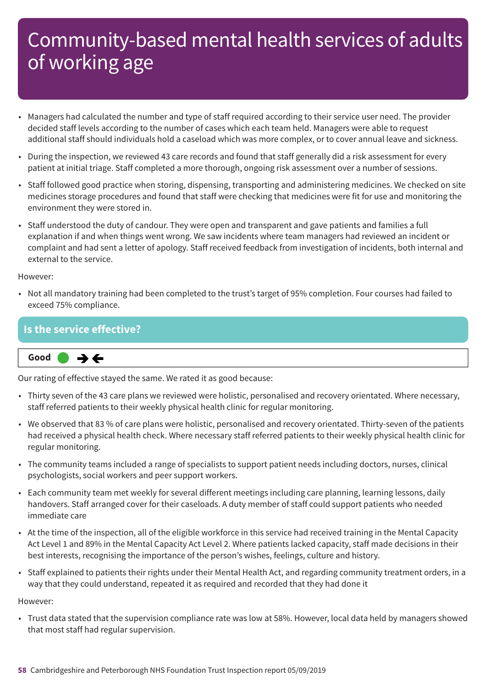- Managers had calculated the number and type of staff required according to their service user need. The provider decided staff levels according to the number of cases which each team held. Managers were able to request additional staff should individuals hold a caseload which was more complex, or to cover annual leave and sickness.
- During the inspection, we reviewed 43 care records and found that staff generally did a risk assessment for every patient at initial triage. Staff completed a more thorough, ongoing risk assessment over a number of sessions.
- Staff followed good practice when storing, dispensing, transporting and administering medicines. We checked on site medicines storage procedures and found that staff were checking that medicines were fit for use and monitoring the environment they were stored in.
- Staff understood the duty of candour. They were open and transparent and gave patients and families a full explanation if and when things went wrong. We saw incidents where team managers had reviewed an incident or complaint and had sent a letter of apology. Staff received feedback from investigation of incidents, both internal and external to the service.

#### However:

• Not all mandatory training had been completed to the trust's target of 95% completion. Four courses had failed to exceed 75% compliance.

### **Is the service effective?**



Our rating of effective stayed the same. We rated it as good because:

- Thirty seven of the 43 care plans we reviewed were holistic, personalised and recovery orientated. Where necessary, staff referred patients to their weekly physical health clinic for regular monitoring.
- We observed that 83 % of care plans were holistic, personalised and recovery orientated. Thirty-seven of the patients had received a physical health check. Where necessary staff referred patients to their weekly physical health clinic for regular monitoring.
- The community teams included a range of specialists to support patient needs including doctors, nurses, clinical psychologists, social workers and peer support workers.
- Each community team met weekly for several different meetings including care planning, learning lessons, daily handovers. Staff arranged cover for their caseloads. A duty member of staff could support patients who needed immediate care
- At the time of the inspection, all of the eligible workforce in this service had received training in the Mental Capacity Act Level 1 and 89% in the Mental Capacity Act Level 2. Where patients lacked capacity, staff made decisions in their best interests, recognising the importance of the person's wishes, feelings, culture and history.
- Staff explained to patients their rights under their Mental Health Act, and regarding community treatment orders, in a way that they could understand, repeated it as required and recorded that they had done it

#### However:

• Trust data stated that the supervision compliance rate was low at 58%. However, local data held by managers showed that most staff had regular supervision.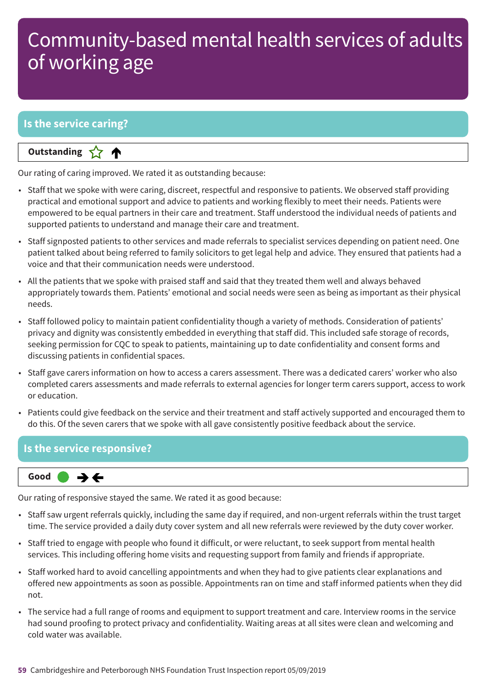### **Is the service caring?**

**Letter Cone Extending** 

Our rating of caring improved. We rated it as outstanding because:

- Staff that we spoke with were caring, discreet, respectful and responsive to patients. We observed staff providing practical and emotional support and advice to patients and working flexibly to meet their needs. Patients were empowered to be equal partners in their care and treatment. Staff understood the individual needs of patients and supported patients to understand and manage their care and treatment.
- Staff signposted patients to other services and made referrals to specialist services depending on patient need. One patient talked about being referred to family solicitors to get legal help and advice. They ensured that patients had a voice and that their communication needs were understood.
- All the patients that we spoke with praised staff and said that they treated them well and always behaved appropriately towards them. Patients' emotional and social needs were seen as being as important as their physical needs.
- Staff followed policy to maintain patient confidentiality though a variety of methods. Consideration of patients' privacy and dignity was consistently embedded in everything that staff did. This included safe storage of records, seeking permission for CQC to speak to patients, maintaining up to date confidentiality and consent forms and discussing patients in confidential spaces.
- Staff gave carers information on how to access a carers assessment. There was a dedicated carers' worker who also completed carers assessments and made referrals to external agencies for longer term carers support, access to work or education.
- Patients could give feedback on the service and their treatment and staff actively supported and encouraged them to do this. Of the seven carers that we spoke with all gave consistently positive feedback about the service.

### **Is the service responsive?**



Our rating of responsive stayed the same. We rated it as good because:

- Staff saw urgent referrals quickly, including the same day if required, and non-urgent referrals within the trust target time. The service provided a daily duty cover system and all new referrals were reviewed by the duty cover worker.
- Staff tried to engage with people who found it difficult, or were reluctant, to seek support from mental health services. This including offering home visits and requesting support from family and friends if appropriate.
- Staff worked hard to avoid cancelling appointments and when they had to give patients clear explanations and offered new appointments as soon as possible. Appointments ran on time and staff informed patients when they did not.
- The service had a full range of rooms and equipment to support treatment and care. Interview rooms in the service had sound proofing to protect privacy and confidentiality. Waiting areas at all sites were clean and welcoming and cold water was available.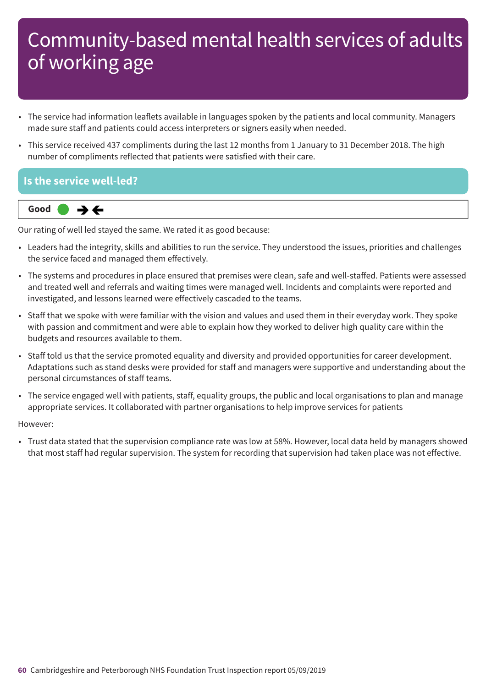- The service had information leaflets available in languages spoken by the patients and local community. Managers made sure staff and patients could access interpreters or signers easily when needed.
- This service received 437 compliments during the last 12 months from 1 January to 31 December 2018. The high number of compliments reflected that patients were satisfied with their care.

### **Is the service well-led?**



Our rating of well led stayed the same. We rated it as good because:

- Leaders had the integrity, skills and abilities to run the service. They understood the issues, priorities and challenges the service faced and managed them effectively.
- The systems and procedures in place ensured that premises were clean, safe and well-staffed. Patients were assessed and treated well and referrals and waiting times were managed well. Incidents and complaints were reported and investigated, and lessons learned were effectively cascaded to the teams.
- Staff that we spoke with were familiar with the vision and values and used them in their everyday work. They spoke with passion and commitment and were able to explain how they worked to deliver high quality care within the budgets and resources available to them.
- Staff told us that the service promoted equality and diversity and provided opportunities for career development. Adaptations such as stand desks were provided for staff and managers were supportive and understanding about the personal circumstances of staff teams.
- The service engaged well with patients, staff, equality groups, the public and local organisations to plan and manage appropriate services. It collaborated with partner organisations to help improve services for patients

However:

• Trust data stated that the supervision compliance rate was low at 58%. However, local data held by managers showed that most staff had regular supervision. The system for recording that supervision had taken place was not effective.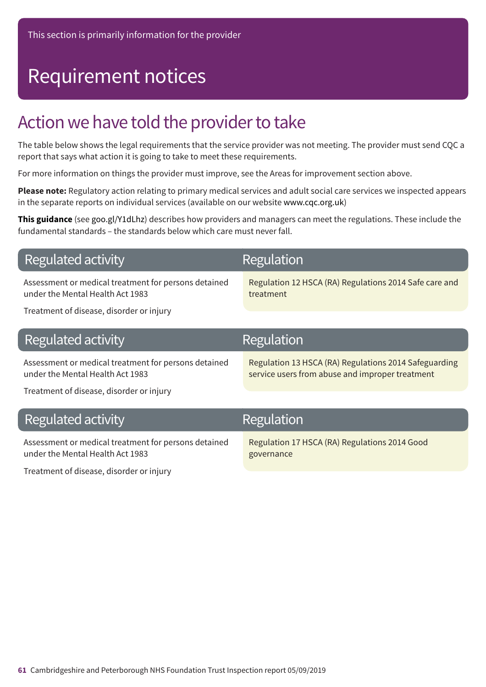## Requirement notices

### Action we have told the provider to take

The table below shows the legal requirements that the service provider was not meeting. The provider must send CQC a report that says what action it is going to take to meet these requirements.

For more information on things the provider must improve, see the Areas for improvement section above.

**Please note:** Regulatory action relating to primary medical services and adult social care services we inspected appears in the separate reports on individual services (available on our website www.cqc.org.uk)

**This guidance** (see goo.gl/Y1dLhz) describes how providers and managers can meet the regulations. These include the fundamental standards – the standards below which care must never fall.

|  |  | <b>Regulated activity</b> |
|--|--|---------------------------|
|--|--|---------------------------|

Assessment or medical treatment for persons detained under the Mental Health Act 1983

Regulation

Regulation 12 HSCA (RA) Regulations 2014 Safe care and treatment

Treatment of disease, disorder or injury

| Regulated activity                                                                       | Regulation                                                                                               |
|------------------------------------------------------------------------------------------|----------------------------------------------------------------------------------------------------------|
| Assessment or medical treatment for persons detained<br>under the Mental Health Act 1983 | Regulation 13 HSCA (RA) Regulations 2014 Safeguarding<br>service users from abuse and improper treatment |
| Treatment of disease, disorder or injury                                                 |                                                                                                          |
| Regulated activity                                                                       | Regulation                                                                                               |
| Assessment or medical treatment for persons detained<br>under the Mental Health Act 1983 | Regulation 17 HSCA (RA) Regulations 2014 Good<br>governance                                              |

Treatment of disease, disorder or injury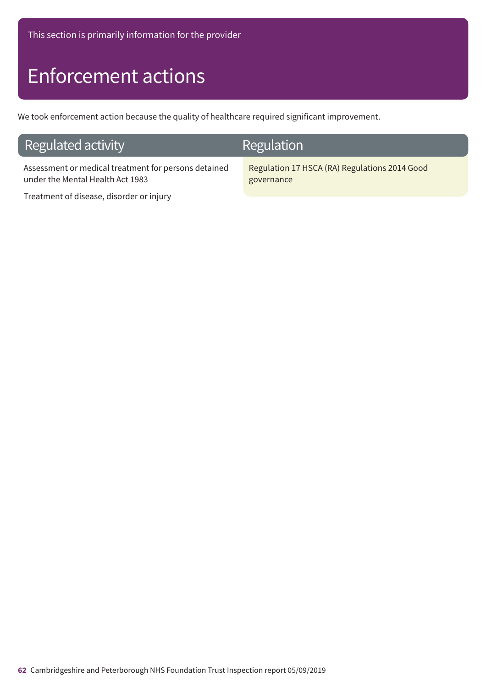## Enforcement actions

We took enforcement action because the quality of healthcare required significant improvement.

### Regulated activity

Assessment or medical treatment for persons detained under the Mental Health Act 1983

Treatment of disease, disorder or injury

### Regulation

Regulation 17 HSCA (RA) Regulations 2014 Good governance